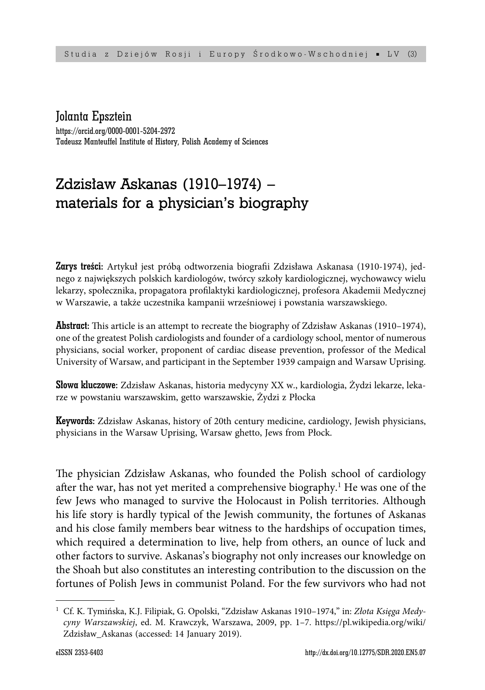Jolanta Epsztein

https://orcid.org/0000-0001-5204-2972 Tadeusz Manteuffel Institute of History, Polish Academy of Sciences

# Zdzisław Askanas (1910–1974) – materials for a physician's biography

Zarys treści: Artykuł jest próbą odtworzenia biografii Zdzisława Askanasa (1910-1974), jednego z największych polskich kardiologów, twórcy szkoły kardiologicznej, wychowawcy wielu lekarzy, społecznika, propagatora profilaktyki kardiologicznej, profesora Akademii Medycznej w Warszawie, a także uczestnika kampanii wrześniowej i powstania warszawskiego.

**Abstract:** This article is an attempt to recreate the biography of Zdzisław Askanas (1910–1974), one of the greatest Polish cardiologists and founder of a cardiology school, mentor of numerous physicians, social worker, proponent of cardiac disease prevention, professor of the Medical University of Warsaw, and participant in the September 1939 campaign and Warsaw Uprising.

Słowa kluczowe: Zdzisław Askanas, historia medycyny XX w., kardiologia, Żydzi lekarze, lekarze w powstaniu warszawskim, getto warszawskie, Żydzi z Płocka

Keywords: Zdzisław Askanas, history of 20th century medicine, cardiology, Jewish physicians, physicians in the Warsaw Uprising, Warsaw ghetto, Jews from Płock.

The physician Zdzisław Askanas, who founded the Polish school of cardiology after the war, has not yet merited a comprehensive biography.<sup>1</sup> He was one of the few Jews who managed to survive the Holocaust in Polish territories. Although his life story is hardly typical of the Jewish community, the fortunes of Askanas and his close family members bear witness to the hardships of occupation times, which required a determination to live, help from others, an ounce of luck and other factors to survive. Askanas's biography not only increases our knowledge on the Shoah but also constitutes an interesting contribution to the discussion on the fortunes of Polish Jews in communist Poland. For the few survivors who had not

<sup>1</sup> Cf. K. Tymińska, K.J. Filipiak, G. Opolski, "Zdzisław Askanas 1910–1974," in: *Złota Księga Medycyny Warszawskiej*, ed. M. Krawczyk, Warszawa, 2009, pp. 1–7. https://pl.wikipedia.org/wiki/ Zdzisław\_Askanas (accessed: 14 January 2019).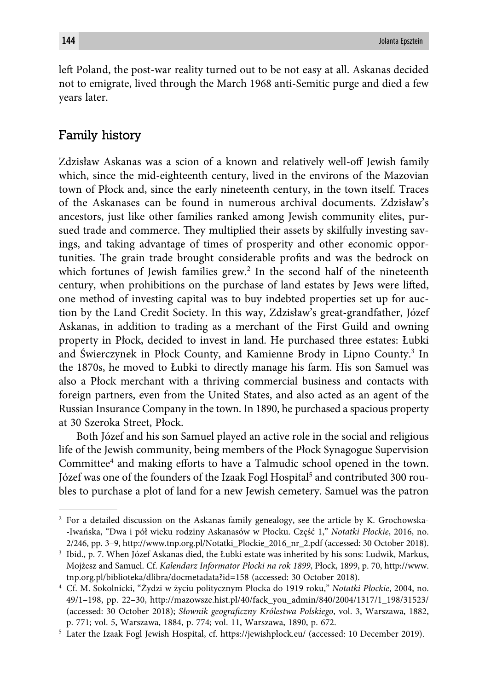left Poland, the post-war reality turned out to be not easy at all. Askanas decided not to emigrate, lived through the March 1968 anti-Semitic purge and died a few years later.

## Family history

Zdzisław Askanas was a scion of a known and relatively well-off Jewish family which, since the mid-eighteenth century, lived in the environs of the Mazovian town of Płock and, since the early nineteenth century, in the town itself. Traces of the Askanases can be found in numerous archival documents. Zdzisław's ancestors, just like other families ranked among Jewish community elites, pursued trade and commerce. They multiplied their assets by skilfully investing savings, and taking advantage of times of prosperity and other economic opportunities. The grain trade brought considerable profits and was the bedrock on which fortunes of Jewish families grew.<sup>2</sup> In the second half of the nineteenth century, when prohibitions on the purchase of land estates by Jews were lifted, one method of investing capital was to buy indebted properties set up for auction by the Land Credit Society. In this way, Zdzisław's great-grandfather, Józef Askanas, in addition to trading as a merchant of the First Guild and owning property in Płock, decided to invest in land. He purchased three estates: Łubki and Świerczynek in Płock County, and Kamienne Brody in Lipno County.<sup>3</sup> In the 1870s, he moved to Łubki to directly manage his farm. His son Samuel was also a Płock merchant with a thriving commercial business and contacts with foreign partners, even from the United States, and also acted as an agent of the Russian Insurance Company in the town. In 1890, he purchased a spacious property at 30 Szeroka Street, Płock.

Both Józef and his son Samuel played an active role in the social and religious life of the Jewish community, being members of the Płock Synagogue Supervision Committee<sup>4</sup> and making efforts to have a Talmudic school opened in the town. Józef was one of the founders of the Izaak Fogl Hospital<sup>5</sup> and contributed 300 roubles to purchase a plot of land for a new Jewish cemetery. Samuel was the patron

<sup>2</sup> For a detailed discussion on the Askanas family genealogy, see the article by K. Grochowska- -Iwańska, "Dwa i pół wieku rodziny Askanasów w Płocku. Część 1," *Notatki Płockie*, 2016, no. 2/246, pp. 3–9, http://www.tnp.org.pl/Notatki\_Plockie\_2016\_nr\_2.pdf (accessed: 30 October 2018).

<sup>3</sup> Ibid., p. 7. When Józef Askanas died, the Łubki estate was inherited by his sons: Ludwik, Markus, Mojżesz and Samuel. Cf. *Kalendarz Informator Płocki na rok 1899*, Płock, 1899, p. 70, http://www. tnp.org.pl/biblioteka/dlibra/docmetadata?id=158 (accessed: 30 October 2018).

<sup>4</sup> Cf. M. Sokolnicki, "Żydzi w życiu politycznym Płocka do 1919 roku," *Notatki Płockie*, 2004, no. 49/1–198, pp. 22–30, http://mazowsze.hist.pl/40/fack\_you\_admin/840/2004/1317/1\_198/31523/ (accessed: 30 October 2018); *Słownik geograficzny Królestwa Polskiego*, vol. 3, Warszawa, 1882, p. 771; vol. 5, Warszawa, 1884, p. 774; vol. 11, Warszawa, 1890, p. 672.

<sup>5</sup> Later the Izaak Fogl Jewish Hospital, cf. https://jewishplock.eu/ (accessed: 10 December 2019).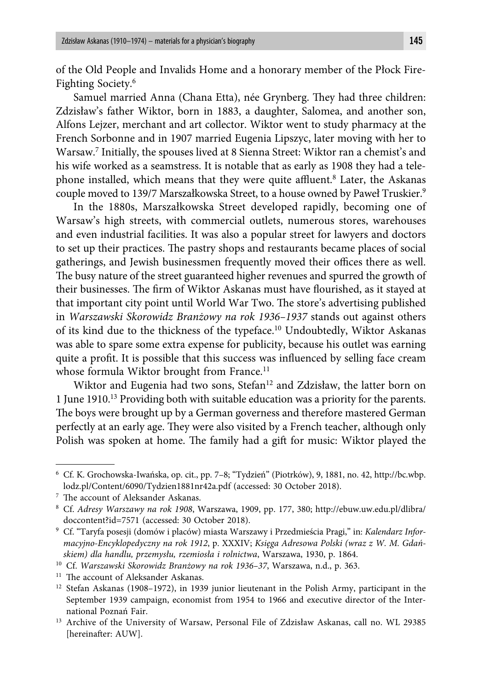of the Old People and Invalids Home and a honorary member of the Płock Fire-Fighting Society.6

Samuel married Anna (Chana Etta), née Grynberg. They had three children: Zdzisław's father Wiktor, born in 1883, a daughter, Salomea, and another son, Alfons Lejzer, merchant and art collector. Wiktor went to study pharmacy at the French Sorbonne and in 1907 married Eugenia Lipszyc, later moving with her to Warsaw.7 Initially, the spouses lived at 8 Sienna Street: Wiktor ran a chemist's and his wife worked as a seamstress. It is notable that as early as 1908 they had a telephone installed, which means that they were quite affluent.<sup>8</sup> Later, the Askanas couple moved to 139/7 Marszałkowska Street, to a house owned by Paweł Truskier.<sup>9</sup>

In the 1880s, Marszałkowska Street developed rapidly, becoming one of Warsaw's high streets, with commercial outlets, numerous stores, warehouses and even industrial facilities. It was also a popular street for lawyers and doctors to set up their practices. The pastry shops and restaurants became places of social gatherings, and Jewish businessmen frequently moved their offices there as well. The busy nature of the street guaranteed higher revenues and spurred the growth of their businesses. The firm of Wiktor Askanas must have flourished, as it stayed at that important city point until World War Two. The store's advertising published in *Warszawski Skorowidz Branżowy na rok 1936–1937* stands out against others of its kind due to the thickness of the typeface.10 Undoubtedly, Wiktor Askanas was able to spare some extra expense for publicity, because his outlet was earning quite a profit. It is possible that this success was influenced by selling face cream whose formula Wiktor brought from France.<sup>11</sup>

Wiktor and Eugenia had two sons, Stefan<sup>12</sup> and Zdzisław, the latter born on 1 June 1910.13 Providing both with suitable education was a priority for the parents. The boys were brought up by a German governess and therefore mastered German perfectly at an early age. They were also visited by a French teacher, although only Polish was spoken at home. The family had a gift for music: Wiktor played the

<sup>6</sup> Cf. K. Grochowska-Iwańska, op. cit., pp. 7–8; "Tydzień" (Piotrków), 9, 1881, no. 42, http://bc.wbp. lodz.pl/Content/6090/Tydzien1881nr42a.pdf (accessed: 30 October 2018).

<sup>&</sup>lt;sup>7</sup> The account of Aleksander Askanas.

<sup>8</sup> Cf. *Adresy Warszawy na rok 1908*, Warszawa, 1909, pp. 177, 380; http://ebuw.uw.edu.pl/dlibra/ doccontent?id=7571 (accessed: 30 October 2018).

<sup>9</sup> Cf. "Taryfa posesji (domów i placów) miasta Warszawy i Przedmieścia Pragi," in: *Kalendarz Informacyjno-Encyklopedyczny na rok 1912*, p. XXXIV; *Księga Adresowa Polski (wraz z W. M. Gdańskiem) dla handlu, przemysłu, rzemiosła i rolnictwa*, Warszawa, 1930, p. 1864.

<sup>10</sup> Cf. *Warszawski Skorowidz Branżowy na rok 1936–37*, Warszawa, n.d., p. 363.

<sup>&</sup>lt;sup>11</sup> The account of Aleksander Askanas.

<sup>&</sup>lt;sup>12</sup> Stefan Askanas (1908-1972), in 1939 junior lieutenant in the Polish Army, participant in the September 1939 campaign, economist from 1954 to 1966 and executive director of the International Poznań Fair.

<sup>13</sup> Archive of the University of Warsaw, Personal File of Zdzisław Askanas, call no. WL 29385 [hereinafter: AUW].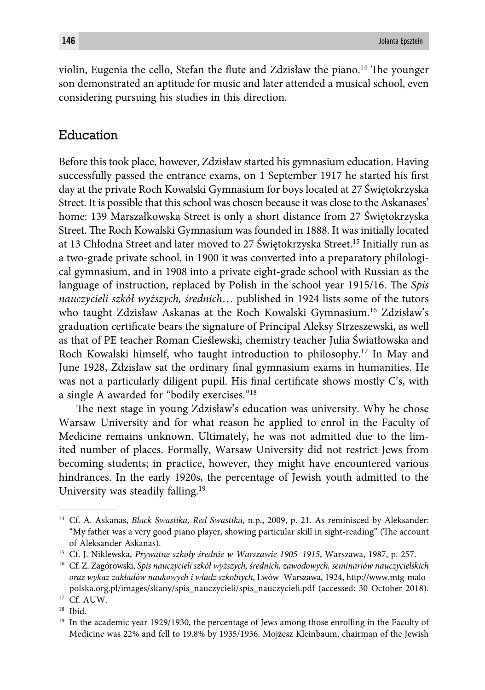violin, Eugenia the cello, Stefan the flute and Zdzisław the piano.<sup>14</sup> The younger son demonstrated an aptitude for music and later attended a musical school, even considering pursuing his studies in this direction.

# Education

Before this took place, however, Zdzisław started his gymnasium education. Having successfully passed the entrance exams, on 1 September 1917 he started his first day at the private Roch Kowalski Gymnasium for boys located at 27 Świętokrzyska Street. It is possible that this school was chosen because it was close to the Askanases' home: 139 Marszałkowska Street is only a short distance from 27 Świętokrzyska Street. The Roch Kowalski Gymnasium was founded in 1888. It was initially located at 13 Chłodna Street and later moved to 27 Świętokrzyska Street.<sup>15</sup> Initially run as a two-grade private school, in 1900 it was converted into a preparatory philological gymnasium, and in 1908 into a private eight-grade school with Russian as the language of instruction, replaced by Polish in the school year 1915/16. The *Spis nauczycieli szkół wyższych, średnich*… published in 1924 lists some of the tutors who taught Zdzisław Askanas at the Roch Kowalski Gymnasium.16 Zdzisław's graduation certificate bears the signature of Principal Aleksy Strzeszewski, as well as that of PE teacher Roman Cieślewski, chemistry teacher Julia Światłowska and Roch Kowalski himself, who taught introduction to philosophy.<sup>17</sup> In May and June 1928, Zdzisław sat the ordinary final gymnasium exams in humanities. He was not a particularly diligent pupil. His final certificate shows mostly  $C$ 's, with a single A awarded for "bodily exercises."18

The next stage in young Zdzisław's education was university. Why he chose Warsaw University and for what reason he applied to enrol in the Faculty of Medicine remains unknown. Ultimately, he was not admitted due to the limited number of places. Formally, Warsaw University did not restrict Jews from becoming students; in practice, however, they might have encountered various hindrances. In the early 1920s, the percentage of Jewish youth admitted to the University was steadily falling.<sup>19</sup>

<sup>14</sup> Cf. A. Askanas, *Black Swastika, Red Swastika*, n.p., 2009, p. 21. As reminisced by Aleksander: "My father was a very good piano player, showing particular skill in sight-reading" (The account of Aleksander Askanas).

<sup>15</sup> Cf. J. Niklewska, *Prywatne szkoły średnie w Warszawie 1905–1915*, Warszawa, 1987, p. 257.

<sup>16</sup> Cf. Z. Zagórowski, *Spis nauczycieli szkół wyższych, średnich, zawodowych, seminariów nauczycielskich oraz wykaz zakładów naukowych i władz szkolnych*, Lwów–Warszawa, 1924, http://www.mtg-malopolska.org.pl/images/skany/spis\_nauczycieli/spis\_nauczycieli.pdf (accessed: 30 October 2018).

<sup>17</sup> Cf. AUW.

<sup>18</sup> Ibid.

<sup>&</sup>lt;sup>19</sup> In the academic year 1929/1930, the percentage of Jews among those enrolling in the Faculty of Medicine was 22% and fell to 19.8% by 1935/1936. Mojżesz Kleinbaum, chairman of the Jewish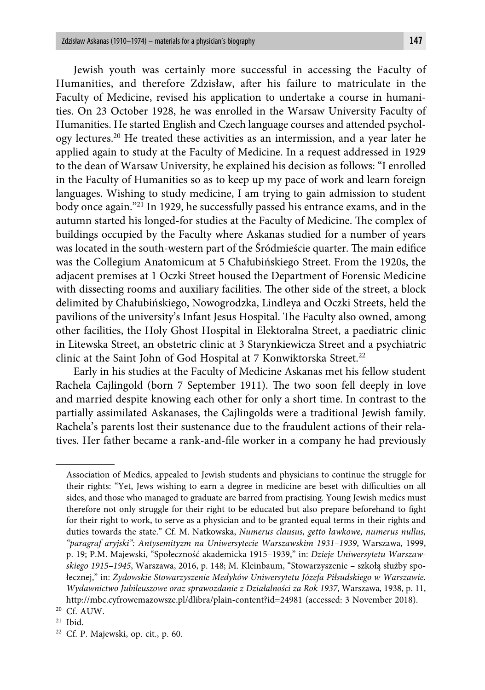Jewish youth was certainly more successful in accessing the Faculty of Humanities, and therefore Zdzisław, after his failure to matriculate in the Faculty of Medicine, revised his application to undertake a course in humanities. On 23 October 1928, he was enrolled in the Warsaw University Faculty of Humanities. He started English and Czech language courses and attended psychology lectures.20 He treated these activities as an intermission, and a year later he applied again to study at the Faculty of Medicine. In a request addressed in 1929 to the dean of Warsaw University, he explained his decision as follows: "I enrolled in the Faculty of Humanities so as to keep up my pace of work and learn foreign languages. Wishing to study medicine, I am trying to gain admission to student body once again."21 In 1929, he successfully passed his entrance exams, and in the autumn started his longed-for studies at the Faculty of Medicine. The complex of buildings occupied by the Faculty where Askanas studied for a number of years was located in the south-western part of the Śródmieście quarter. The main edifice was the Collegium Anatomicum at 5 Chałubińskiego Street. From the 1920s, the adjacent premises at 1 Oczki Street housed the Department of Forensic Medicine with dissecting rooms and auxiliary facilities. The other side of the street, a block delimited by Chałubińskiego, Nowogrodzka, Lindleya and Oczki Streets, held the pavilions of the university's Infant Jesus Hospital. The Faculty also owned, among other facilities, the Holy Ghost Hospital in Elektoralna Street, a paediatric clinic in Litewska Street, an obstetric clinic at 3 Starynkiewicza Street and a psychiatric clinic at the Saint John of God Hospital at 7 Konwiktorska Street.<sup>22</sup>

Early in his studies at the Faculty of Medicine Askanas met his fellow student Rachela Cajlingold (born 7 September 1911). The two soon fell deeply in love and married despite knowing each other for only a short time. In contrast to the partially assimilated Askanases, the Cajlingolds were a traditional Jewish family. Rachela's parents lost their sustenance due to the fraudulent actions of their relatives. Her father became a rank-and-file worker in a company he had previously

Association of Medics, appealed to Jewish students and physicians to continue the struggle for their rights: "Yet, Jews wishing to earn a degree in medicine are beset with difficulties on all sides, and those who managed to graduate are barred from practising. Young Jewish medics must therefore not only struggle for their right to be educated but also prepare beforehand to fight for their right to work, to serve as a physician and to be granted equal terms in their rights and duties towards the state." Cf. M. Natkowska, *Numerus clausus, getto ławkowe, numerus nullus, "paragraf aryjski": Antysemityzm na Uniwersytecie Warszawskim 1931–1939*, Warszawa, 1999, p. 19; P.M. Majewski, "Społeczność akademicka 1915–1939," in: *Dzieje Uniwersytetu Warszawskiego 1915–1945*, Warszawa, 2016, p. 148; M. Kleinbaum, "Stowarzyszenie – szkołą służby społecznej," in: *Żydowskie Stowarzyszenie Medyków Uniwersytetu Józefa Piłsudskiego w Warszawie. Wydawnictwo Jubileuszowe oraz sprawozdanie z Działalności za Rok 1937*, Warszawa, 1938, p. 11, http://mbc.cyfrowemazowsze.pl/dlibra/plain-content?id=24981 (accessed: 3 November 2018).

<sup>20</sup> Cf. AUW.

 $21$  Ibid.

<sup>22</sup> Cf. P. Majewski, op. cit., p. 60.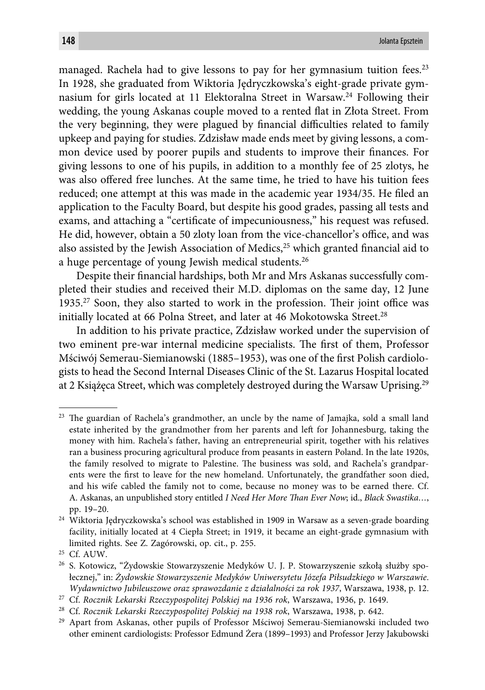managed. Rachela had to give lessons to pay for her gymnasium tuition fees.<sup>23</sup> In 1928, she graduated from Wiktoria Jędryczkowska's eight-grade private gymnasium for girls located at 11 Elektoralna Street in Warsaw.24 Following their wedding, the young Askanas couple moved to a rented flat in Złota Street. From the very beginning, they were plagued by financial difficulties related to family upkeep and paying for studies. Zdzisław made ends meet by giving lessons, a common device used by poorer pupils and students to improve their finances. For giving lessons to one of his pupils, in addition to a monthly fee of 25 zlotys, he was also offered free lunches. At the same time, he tried to have his tuition fees reduced; one attempt at this was made in the academic year 1934/35. He filed an application to the Faculty Board, but despite his good grades, passing all tests and exams, and attaching a "certificate of impecuniousness," his request was refused. He did, however, obtain a 50 zloty loan from the vice-chancellor's office, and was also assisted by the Jewish Association of Medics, $25$  which granted financial aid to a huge percentage of young Jewish medical students.<sup>26</sup>

Despite their financial hardships, both Mr and Mrs Askanas successfully completed their studies and received their M.D. diplomas on the same day, 12 June 1935.<sup>27</sup> Soon, they also started to work in the profession. Their joint office was initially located at 66 Polna Street, and later at 46 Mokotowska Street.<sup>28</sup>

In addition to his private practice, Zdzisław worked under the supervision of two eminent pre-war internal medicine specialists. The first of them, Professor Mściwój Semerau-Siemianowski (1885–1953), was one of the first Polish cardiologists to head the Second Internal Diseases Clinic of the St. Lazarus Hospital located at 2 Książęca Street, which was completely destroyed during the Warsaw Uprising.29

 $23$  The guardian of Rachela's grandmother, an uncle by the name of Jamajka, sold a small land estate inherited by the grandmother from her parents and left for Johannesburg, taking the money with him. Rachela's father, having an entrepreneurial spirit, together with his relatives ran a business procuring agricultural produce from peasants in eastern Poland. In the late 1920s, the family resolved to migrate to Palestine. The business was sold, and Rachela's grandparents were the first to leave for the new homeland. Unfortunately, the grandfather soon died, and his wife cabled the family not to come, because no money was to be earned there. Cf. A. Askanas, an unpublished story entitled *I Need Her More Than Ever Now*; id., *Black Swastika*..., pp. 19–20.

<sup>&</sup>lt;sup>24</sup> Wiktoria Jędryczkowska's school was established in 1909 in Warsaw as a seven-grade boarding facility, initially located at 4 Ciepła Street; in 1919, it became an eight-grade gymnasium with limited rights. See Z. Zagórowski, op. cit., p. 255.

<sup>25</sup> Cf. AUW.

<sup>26</sup> S. Kotowicz, "Żydowskie Stowarzyszenie Medyków U. J. P. Stowarzyszenie szkołą służby społecznej," in: *Żydowskie Stowarzyszenie Medyków Uniwersytetu Józefa Piłsudzkiego w Warszawie*. *Wydawnictwo Jubileuszowe oraz sprawozdanie z działalności za rok 1937*, Warszawa, 1938, p. 12.

<sup>27</sup> Cf. *Rocznik Lekarski Rzeczypospolitej Polskiej na 1936 rok*, Warszawa, 1936, p. 1649.

<sup>28</sup> Cf. *Rocznik Lekarski Rzeczypospolitej Polskiej na 1938 rok*, Warszawa, 1938, p. 642.

<sup>&</sup>lt;sup>29</sup> Apart from Askanas, other pupils of Professor Mściwoj Semerau-Siemianowski included two other eminent cardiologists: Professor Edmund Żera (1899–1993) and Professor Jerzy Jakubowski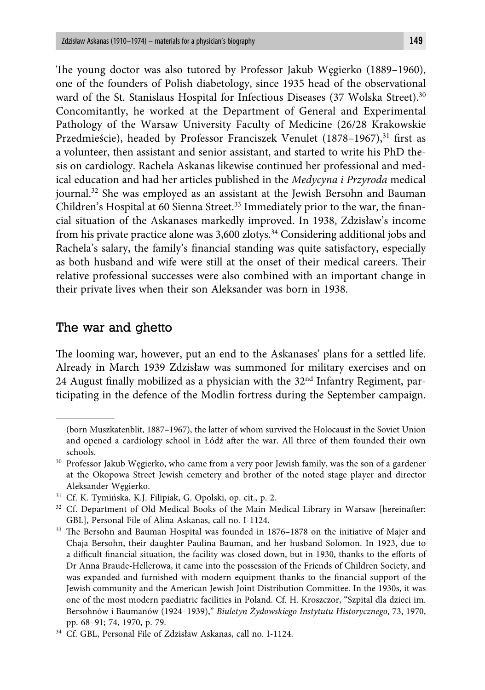The young doctor was also tutored by Professor Jakub Węgierko (1889-1960), one of the founders of Polish diabetology, since 1935 head of the observational ward of the St. Stanislaus Hospital for Infectious Diseases (37 Wolska Street).<sup>30</sup> Concomitantly, he worked at the Department of General and Experimental Pathology of the Warsaw University Faculty of Medicine (26/28 Krakowskie Przedmieście), headed by Professor Franciszek Venulet  $(1878-1967)^{31}$  first as a volunteer, then assistant and senior assistant, and started to write his PhD thesis on cardiology. Rachela Askanas likewise continued her professional and medical education and had her articles published in the *Medycyna i Przyroda* medical journal.<sup>32</sup> She was employed as an assistant at the Jewish Bersohn and Bauman Children's Hospital at 60 Sienna Street.<sup>33</sup> Immediately prior to the war, the financial situation of the Askanases markedly improved. In 1938, Zdzisław's income from his private practice alone was 3,600 zlotys.34 Considering additional jobs and Rachela's salary, the family's financial standing was quite satisfactory, especially as both husband and wife were still at the onset of their medical careers. Their relative professional successes were also combined with an important change in their private lives when their son Aleksander was born in 1938.

## The war and ghetto

The looming war, however, put an end to the Askanases' plans for a settled life. Already in March 1939 Zdzisław was summoned for military exercises and on 24 August finally mobilized as a physician with the  $32<sup>nd</sup>$  Infantry Regiment, participating in the defence of the Modlin fortress during the September campaign.

<sup>(</sup>born Muszkatenblit, 1887–1967), the latter of whom survived the Holocaust in the Soviet Union and opened a cardiology school in Łódź after the war. All three of them founded their own schools.

<sup>&</sup>lt;sup>30</sup> Professor Jakub Węgierko, who came from a very poor Jewish family, was the son of a gardener at the Okopowa Street Jewish cemetery and brother of the noted stage player and director Aleksander Węgierko.

<sup>31</sup> Cf. K. Tymińska, K.J. Filipiak, G. Opolski, op. cit., p. 2.

<sup>&</sup>lt;sup>32</sup> Cf. Department of Old Medical Books of the Main Medical Library in Warsaw [hereinafter: GBL], Personal File of Alina Askanas, call no. I-1124.

<sup>&</sup>lt;sup>33</sup> The Bersohn and Bauman Hospital was founded in 1876–1878 on the initiative of Majer and Chaja Bersohn, their daughter Paulina Bauman, and her husband Solomon. In 1923, due to a difficult financial situation, the facility was closed down, but in 1930, thanks to the efforts of Dr Anna Braude-Hellerowa, it came into the possession of the Friends of Children Society, and was expanded and furnished with modern equipment thanks to the financial support of the Jewish community and the American Jewish Joint Distribution Committee. In the 1930s, it was one of the most modern paediatric facilities in Poland. Cf. H. Kroszczor, "Szpital dla dzieci im. Bersohnów i Baumanów (1924–1939)," *Biuletyn Żydowskiego Instytutu Historycznego*, 73, 1970, pp. 68–91; 74, 1970, p. 79.

<sup>34</sup> Cf. GBL, Personal File of Zdzisław Askanas, call no. I-1124.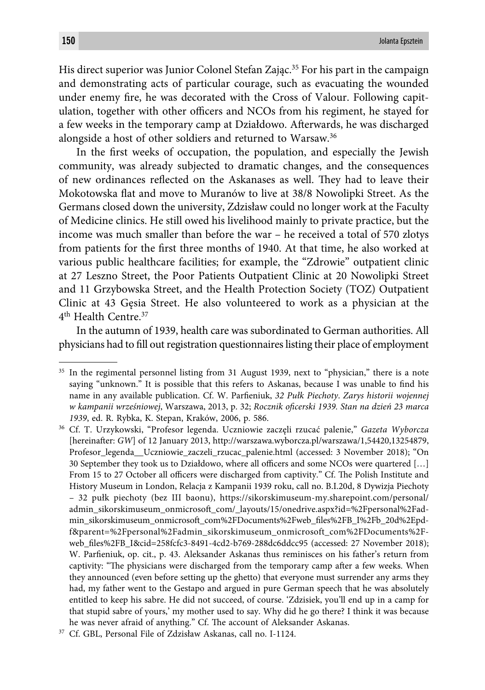His direct superior was Junior Colonel Stefan Zając.<sup>35</sup> For his part in the campaign and demonstrating acts of particular courage, such as evacuating the wounded under enemy fire, he was decorated with the Cross of Valour. Following capitulation, together with other officers and NCOs from his regiment, he stayed for a few weeks in the temporary camp at Działdowo. Afterwards, he was discharged alongside a host of other soldiers and returned to Warsaw.36

In the first weeks of occupation, the population, and especially the Jewish community, was already subjected to dramatic changes, and the consequences of new ordinances reflected on the Askanases as well. They had to leave their Mokotowska flat and move to Muranów to live at 38/8 Nowolipki Street. As the Germans closed down the university, Zdzisław could no longer work at the Faculty of Medicine clinics. He still owed his livelihood mainly to private practice, but the income was much smaller than before the war – he received a total of 570 zlotys from patients for the first three months of 1940. At that time, he also worked at various public healthcare facilities; for example, the "Zdrowie" outpatient clinic at 27 Leszno Street, the Poor Patients Outpatient Clinic at 20 Nowolipki Street and 11 Grzybowska Street, and the Health Protection Society (TOZ) Outpatient Clinic at 43 Gęsia Street. He also volunteered to work as a physician at the 4th Health Centre.37

In the autumn of 1939, health care was subordinated to German authorities. All physicians had to fill out registration questionnaires listing their place of employment

<sup>&</sup>lt;sup>35</sup> In the regimental personnel listing from 31 August 1939, next to "physician," there is a note saying "unknown." It is possible that this refers to Askanas, because I was unable to find his name in any available publication. Cf. W. Parfieniuk, 32 Pułk Piechoty. Zarys historii wojennej *w kampanii wrześniowej*, Warszawa, 2013, p. 32; *Rocznik ofi cerski 1939. Stan na dzień 23 marca 1939*, ed. R. Rybka, K. Stepan, Kraków, 2006, p. 586.

<sup>36</sup> Cf. T. Urzykowski, "Profesor legenda. Uczniowie zaczęli rzucać palenie," *Gazeta Wyborcza*  [hereinafter: *GW*] of 12 January 2013, http://warszawa.wyborcza.pl/warszawa/1,54420,13254879, Profesor\_legenda\_\_Uczniowie\_zaczeli\_rzucac\_palenie.html (accessed: 3 November 2018); "On 30 September they took us to Działdowo, where all officers and some NCOs were quartered  $[...]$ From 15 to 27 October all officers were discharged from captivity." Cf. The Polish Institute and History Museum in London, Relacja z Kampanii 1939 roku, call no. B.I.20d, 8 Dywizja Piechoty – 32 pułk piechoty (bez III baonu), https://sikorskimuseum-my.sharepoint.com/personal/ admin\_sikorskimuseum\_onmicrosoft \_com/\_layouts/15/onedrive.aspx?id=%2Fpersonal%2Fadmin\_sikorskimuseum\_onmicrosoft \_com%2FDocuments%2Fweb\_fi les%2FB\_I%2Fb\_20d%2Epdf&parent=%2Fpersonal%2Fadmin\_sikorskimuseum\_onmicrosoft\_com%2FDocuments%2Fweb\_fi les%2FB\_I&cid=258fcfc3-8491-4cd2-b769-288dc6ddcc95 (accessed: 27 November 2018); W. Parfieniuk, op. cit., p. 43. Aleksander Askanas thus reminisces on his father's return from captivity: "The physicians were discharged from the temporary camp after a few weeks. When they announced (even before setting up the ghetto) that everyone must surrender any arms they had, my father went to the Gestapo and argued in pure German speech that he was absolutely entitled to keep his sabre. He did not succeed, of course. 'Zdzisiek, you'll end up in a camp for that stupid sabre of yours,' my mother used to say. Why did he go there? I think it was because he was never afraid of anything." Cf. The account of Aleksander Askanas.

<sup>37</sup> Cf. GBL, Personal File of Zdzisław Askanas, call no. I-1124.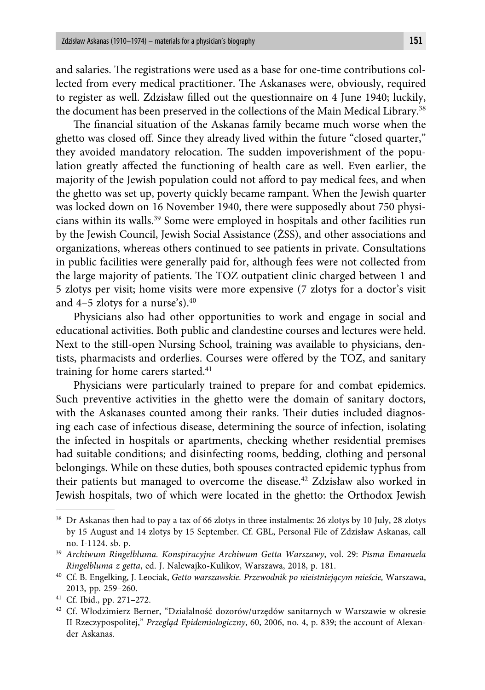and salaries. The registrations were used as a base for one-time contributions collected from every medical practitioner. The Askanases were, obviously, required to register as well. Zdzisław filled out the questionnaire on 4 June 1940; luckily, the document has been preserved in the collections of the Main Medical Library.38

The financial situation of the Askanas family became much worse when the ghetto was closed off . Since they already lived within the future "closed quarter," they avoided mandatory relocation. The sudden impoverishment of the population greatly affected the functioning of health care as well. Even earlier, the majority of the Jewish population could not afford to pay medical fees, and when the ghetto was set up, poverty quickly became rampant. When the Jewish quarter was locked down on 16 November 1940, there were supposedly about 750 physicians within its walls.39 Some were employed in hospitals and other facilities run by the Jewish Council, Jewish Social Assistance (ŻSS), and other associations and organizations, whereas others continued to see patients in private. Consultations in public facilities were generally paid for, although fees were not collected from the large majority of patients. The TOZ outpatient clinic charged between 1 and 5 zlotys per visit; home visits were more expensive (7 zlotys for a doctor's visit and 4–5 zlotys for a nurse's).40

Physicians also had other opportunities to work and engage in social and educational activities. Both public and clandestine courses and lectures were held. Next to the still-open Nursing School, training was available to physicians, dentists, pharmacists and orderlies. Courses were offered by the TOZ, and sanitary training for home carers started.<sup>41</sup>

Physicians were particularly trained to prepare for and combat epidemics. Such preventive activities in the ghetto were the domain of sanitary doctors, with the Askanases counted among their ranks. Their duties included diagnosing each case of infectious disease, determining the source of infection, isolating the infected in hospitals or apartments, checking whether residential premises had suitable conditions; and disinfecting rooms, bedding, clothing and personal belongings. While on these duties, both spouses contracted epidemic typhus from their patients but managed to overcome the disease.<sup>42</sup> Zdzisław also worked in Jewish hospitals, two of which were located in the ghetto: the Orthodox Jewish

<sup>38</sup> Dr Askanas then had to pay a tax of 66 zlotys in three instalments: 26 zlotys by 10 July, 28 zlotys by 15 August and 14 zlotys by 15 September. Cf. GBL, Personal File of Zdzisław Askanas, call no. I-1124. sb. p.

<sup>39</sup> *Archiwum Ringelbluma. Konspiracyjne Archiwum Getta Warszawy*, vol. 29: *Pisma Emanuela Ringelbluma z getta*, ed. J. Nalewajko-Kulikov, Warszawa, 2018, p. 181.

<sup>40</sup> Cf. B. Engelking, J. Leociak, *Getto warszawskie. Przewodnik po nieistniejącym mieście,* Warszawa, 2013, pp. 259–260.

<sup>41</sup> Cf. Ibid., pp. 271–272.

<sup>42</sup> Cf. Włodzimierz Berner, "Działalność dozorów/urzędów sanitarnych w Warszawie w okresie II Rzeczypospolitej," *Przegląd Epidemiologiczny*, 60, 2006, no. 4, p. 839; the account of Alexander Askanas.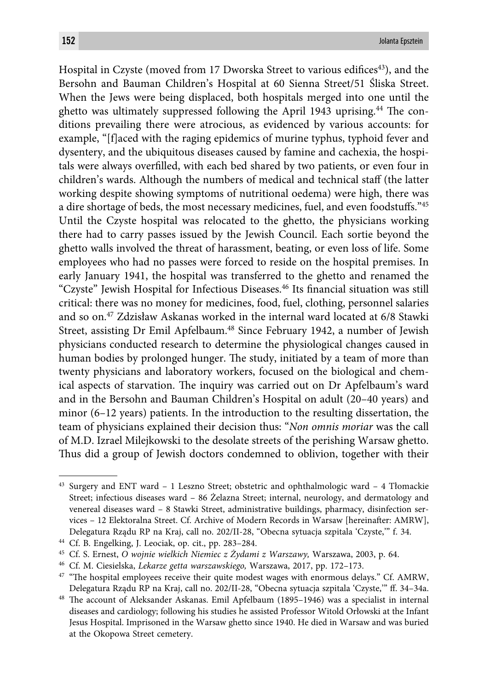Hospital in Czyste (moved from 17 Dworska Street to various edifices<sup>43</sup>), and the Bersohn and Bauman Children's Hospital at 60 Sienna Street/51 Śliska Street. When the Jews were being displaced, both hospitals merged into one until the ghetto was ultimately suppressed following the April 1943 uprising.<sup>44</sup> The conditions prevailing there were atrocious, as evidenced by various accounts: for example, "[f]aced with the raging epidemics of murine typhus, typhoid fever and dysentery, and the ubiquitous diseases caused by famine and cachexia, the hospitals were always overfilled, with each bed shared by two patients, or even four in children's wards. Although the numbers of medical and technical staff (the latter working despite showing symptoms of nutritional oedema) were high, there was a dire shortage of beds, the most necessary medicines, fuel, and even foodstuffs."45 Until the Czyste hospital was relocated to the ghetto, the physicians working there had to carry passes issued by the Jewish Council. Each sortie beyond the ghetto walls involved the threat of harassment, beating, or even loss of life. Some employees who had no passes were forced to reside on the hospital premises. In early January 1941, the hospital was transferred to the ghetto and renamed the "Czyste" Jewish Hospital for Infectious Diseases.<sup>46</sup> Its financial situation was still critical: there was no money for medicines, food, fuel, clothing, personnel salaries and so on.47 Zdzisław Askanas worked in the internal ward located at 6/8 Stawki Street, assisting Dr Emil Apfelbaum.<sup>48</sup> Since February 1942, a number of Jewish physicians conducted research to determine the physiological changes caused in human bodies by prolonged hunger. The study, initiated by a team of more than twenty physicians and laboratory workers, focused on the biological and chemical aspects of starvation. The inquiry was carried out on Dr Apfelbaum's ward and in the Bersohn and Bauman Children's Hospital on adult (20–40 years) and minor (6–12 years) patients. In the introduction to the resulting dissertation, the team of physicians explained their decision thus: "*Non omnis moriar* was the call of M.D. Izrael Milejkowski to the desolate streets of the perishing Warsaw ghetto. Thus did a group of Jewish doctors condemned to oblivion, together with their

<sup>43</sup> Surgery and ENT ward – 1 Leszno Street; obstetric and ophthalmologic ward – 4 Tłomackie Street; infectious diseases ward – 86 Żelazna Street; internal, neurology, and dermatology and venereal diseases ward – 8 Stawki Street, administrative buildings, pharmacy, disinfection services - 12 Elektoralna Street. Cf. Archive of Modern Records in Warsaw [hereinafter: AMRW], Delegatura Rządu RP na Kraj, call no. 202/II-28, "Obecna sytuacja szpitala 'Czyste,'" f. 34.

<sup>44</sup> Cf. B. Engelking, J. Leociak, op. cit., pp. 283–284.

<sup>45</sup> Cf. S. Ernest, *O wojnie wielkich Niemiec z Żydami z Warszawy,* Warszawa, 2003, p. 64.

<sup>46</sup> Cf. M. Ciesielska, *Lekarze getta warszawskiego,* Warszawa, 2017, pp. 172–173.

 $47$  "The hospital employees receive their quite modest wages with enormous delays." Cf. AMRW, Delegatura Rządu RP na Kraj, call no. 202/II-28, "Obecna sytuacja szpitala 'Czyste,'" ff . 34–34a.

<sup>&</sup>lt;sup>48</sup> The account of Aleksander Askanas. Emil Apfelbaum (1895-1946) was a specialist in internal diseases and cardiology; following his studies he assisted Professor Witold Orłowski at the Infant Jesus Hospital. Imprisoned in the Warsaw ghetto since 1940. He died in Warsaw and was buried at the Okopowa Street cemetery.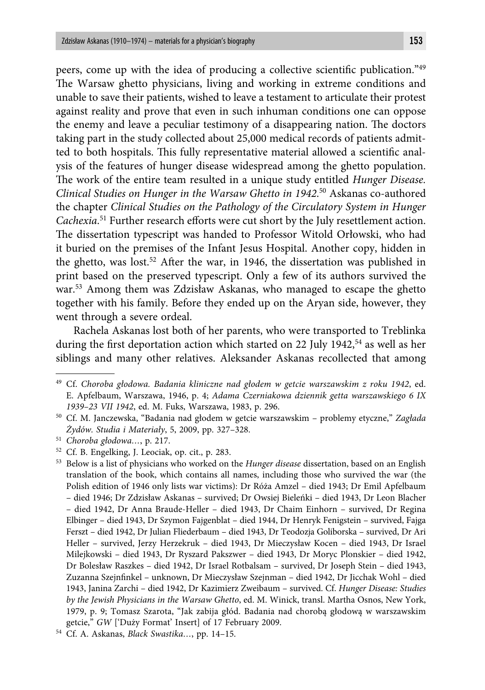peers, come up with the idea of producing a collective scientific publication."<sup>49</sup> The Warsaw ghetto physicians, living and working in extreme conditions and unable to save their patients, wished to leave a testament to articulate their protest against reality and prove that even in such inhuman conditions one can oppose the enemy and leave a peculiar testimony of a disappearing nation. The doctors taking part in the study collected about 25,000 medical records of patients admitted to both hospitals. This fully representative material allowed a scientific analysis of the features of hunger disease widespread among the ghetto population. The work of the entire team resulted in a unique study entitled *Hunger Disease*. *Clinical Studies on Hunger in the Warsaw Ghetto in 1942*. 50 Askanas co-authored the chapter *Clinical Studies on the Pathology of the Circulatory System in Hunger*  Cachexia.<sup>51</sup> Further research efforts were cut short by the July resettlement action. The dissertation typescript was handed to Professor Witold Orłowski, who had it buried on the premises of the Infant Jesus Hospital. Another copy, hidden in the ghetto, was lost.<sup>52</sup> After the war, in 1946, the dissertation was published in print based on the preserved typescript. Only a few of its authors survived the war.53 Among them was Zdzisław Askanas, who managed to escape the ghetto together with his family. Before they ended up on the Aryan side, however, they went through a severe ordeal.

Rachela Askanas lost both of her parents, who were transported to Treblinka during the first deportation action which started on 22 July 1942,<sup>54</sup> as well as her siblings and many other relatives. Aleksander Askanas recollected that among

51 *Choroba głodowa…*, p. 217.

<sup>49</sup> Cf. *Choroba głodowa. Badania kliniczne nad głodem w getcie warszawskim z roku 1942*, ed. E. Apfelbaum, Warszawa, 1946, p. 4; *Adama Czerniakowa dziennik getta warszawskiego 6 IX 1939–23 VII 1942*, ed. M. Fuks, Warszawa, 1983, p. 296.

<sup>50</sup> Cf. M. Janczewska, "Badania nad głodem w getcie warszawskim – problemy etyczne," *Zagłada Żydów. Studia i Materiały*, 5, 2009, pp. 327–328.

<sup>52</sup> Cf. B. Engelking, J. Leociak, op. cit., p. 283.

<sup>53</sup> Below is a list of physicians who worked on the *Hunger disease* dissertation, based on an English translation of the book, which contains all names, including those who survived the war (the Polish edition of 1946 only lists war victims): Dr Róża Amzel – died 1943; Dr Emil Apfelbaum – died 1946; Dr Zdzisław Askanas – survived; Dr Owsiej Bieleńki – died 1943, Dr Leon Blacher – died 1942, Dr Anna Braude-Heller – died 1943, Dr Chaim Einhorn – survived, Dr Regina Elbinger – died 1943, Dr Szymon Fajgenblat – died 1944, Dr Henryk Fenigstein – survived, Fajga Ferszt – died 1942, Dr Julian Fliederbaum – died 1943, Dr Teodozja Goliborska – survived, Dr Ari Heller – survived, Jerzy Herzekruk – died 1943, Dr Mieczysław Kocen – died 1943, Dr Israel Milejkowski – died 1943, Dr Ryszard Pakszwer – died 1943, Dr Moryc Plonskier – died 1942, Dr Bolesław Raszkes – died 1942, Dr Israel Rotbalsam – survived, Dr Joseph Stein – died 1943, Zuzanna Szejnfinkel – unknown, Dr Mieczysław Szejnman – died 1942, Dr Jicchak Wohl – died 1943, Janina Zarchi – died 1942, Dr Kazimierz Zweibaum – survived. Cf. *Hunger Disease: Studies by the Jewish Physicians in the Warsaw Ghetto*, ed. M. Winick, transl. Martha Osnos, New York, 1979, p. 9; Tomasz Szarota, "Jak zabija głód. Badania nad chorobą głodową w warszawskim getcie," *GW* ['Duży Format' Insert] of 17 February 2009.

<sup>54</sup> Cf. A. Askanas, *Black Swastika…*, pp. 14–15.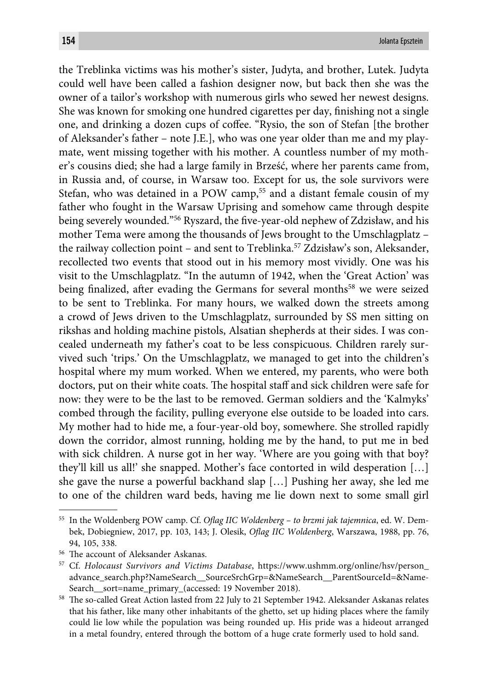the Treblinka victims was his mother's sister, Judyta, and brother, Lutek. Judyta could well have been called a fashion designer now, but back then she was the owner of a tailor's workshop with numerous girls who sewed her newest designs. She was known for smoking one hundred cigarettes per day, finishing not a single one, and drinking a dozen cups of coffee. "Rysio, the son of Stefan [the brother of Aleksander's father – note J.E.], who was one year older than me and my playmate, went missing together with his mother. A countless number of my mother's cousins died; she had a large family in Brześć, where her parents came from, in Russia and, of course, in Warsaw too. Except for us, the sole survivors were Stefan, who was detained in a POW camp,<sup>55</sup> and a distant female cousin of my father who fought in the Warsaw Uprising and somehow came through despite being severely wounded."<sup>56</sup> Ryszard, the five-year-old nephew of Zdzisław, and his mother Tema were among the thousands of Jews brought to the Umschlagplatz – the railway collection point – and sent to Treblinka.57 Zdzisław's son, Aleksander, recollected two events that stood out in his memory most vividly. One was his visit to the Umschlagplatz. "In the autumn of 1942, when the 'Great Action' was being finalized, after evading the Germans for several months<sup>58</sup> we were seized to be sent to Treblinka. For many hours, we walked down the streets among a crowd of Jews driven to the Umschlagplatz, surrounded by SS men sitting on rikshas and holding machine pistols, Alsatian shepherds at their sides. I was concealed underneath my father's coat to be less conspicuous. Children rarely survived such 'trips.' On the Umschlagplatz, we managed to get into the children's hospital where my mum worked. When we entered, my parents, who were both doctors, put on their white coats. The hospital staff and sick children were safe for now: they were to be the last to be removed. German soldiers and the 'Kalmyks' combed through the facility, pulling everyone else outside to be loaded into cars. My mother had to hide me, a four-year-old boy, somewhere. She strolled rapidly down the corridor, almost running, holding me by the hand, to put me in bed with sick children. A nurse got in her way. 'Where are you going with that boy? they'll kill us all!' she snapped. Mother's face contorted in wild desperation […] she gave the nurse a powerful backhand slap […] Pushing her away, she led me to one of the children ward beds, having me lie down next to some small girl

<sup>&</sup>lt;sup>55</sup> In the Woldenberg POW camp. Cf. *Oflag IIC Woldenberg - to brzmi jak tajemnica*, ed. W. Dembek, Dobiegniew, 2017, pp. 103, 143; J. Olesik, *Oflag IIC Woldenberg*, Warszawa, 1988, pp. 76, 94, 105, 338.

<sup>&</sup>lt;sup>56</sup> The account of Aleksander Askanas.

<sup>57</sup> Cf. *Holocaust Survivors and Victims Database*, https://www.ushmm.org/online/hsv/person\_ advance\_search.php?NameSearch\_\_SourceSrchGrp=&NameSearch\_\_ParentSourceId=&Name-Search\_\_sort=name\_primary\_(accessed: 19 November 2018).

<sup>58</sup> The so-called Great Action lasted from 22 July to 21 September 1942. Aleksander Askanas relates that his father, like many other inhabitants of the ghetto, set up hiding places where the family could lie low while the population was being rounded up. His pride was a hideout arranged in a metal foundry, entered through the bottom of a huge crate formerly used to hold sand.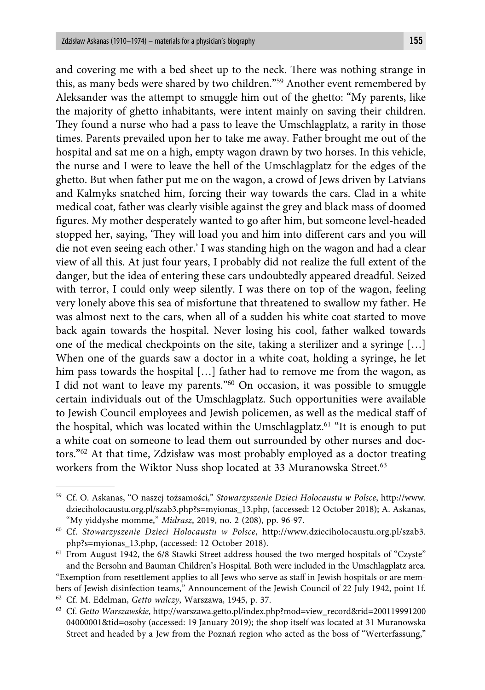and covering me with a bed sheet up to the neck. There was nothing strange in this, as many beds were shared by two children."59 Another event remembered by Aleksander was the attempt to smuggle him out of the ghetto: "My parents, like the majority of ghetto inhabitants, were intent mainly on saving their children. They found a nurse who had a pass to leave the Umschlagplatz, a rarity in those times. Parents prevailed upon her to take me away. Father brought me out of the hospital and sat me on a high, empty wagon drawn by two horses. In this vehicle, the nurse and I were to leave the hell of the Umschlagplatz for the edges of the ghetto. But when father put me on the wagon, a crowd of Jews driven by Latvians and Kalmyks snatched him, forcing their way towards the cars. Clad in a white medical coat, father was clearly visible against the grey and black mass of doomed figures. My mother desperately wanted to go after him, but someone level-headed stopped her, saying, 'They will load you and him into different cars and you will die not even seeing each other.' I was standing high on the wagon and had a clear view of all this. At just four years, I probably did not realize the full extent of the danger, but the idea of entering these cars undoubtedly appeared dreadful. Seized with terror, I could only weep silently. I was there on top of the wagon, feeling very lonely above this sea of misfortune that threatened to swallow my father. He was almost next to the cars, when all of a sudden his white coat started to move back again towards the hospital. Never losing his cool, father walked towards one of the medical checkpoints on the site, taking a sterilizer and a syringe […] When one of the guards saw a doctor in a white coat, holding a syringe, he let him pass towards the hospital [...] father had to remove me from the wagon, as I did not want to leave my parents."<sup>60</sup> On occasion, it was possible to smuggle certain individuals out of the Umschlagplatz. Such opportunities were available to Jewish Council employees and Jewish policemen, as well as the medical staff of the hospital, which was located within the Umschlagplatz.<sup>61</sup> "It is enough to put a white coat on someone to lead them out surrounded by other nurses and doctors."62 At that time, Zdzisław was most probably employed as a doctor treating workers from the Wiktor Nuss shop located at 33 Muranowska Street.<sup>63</sup>

<sup>59</sup> Cf. O. Askanas, "O naszej tożsamości," *Stowarzyszenie Dzieci Holocaustu w Polsce*, http://www. dzieciholocaustu.org.pl/szab3.php?s=myionas\_13.php, (accessed: 12 October 2018); A. Askanas, "My yiddyshe momme," *Midrasz*, 2019, no. 2 (208), pp. 96-97.

<sup>60</sup> Cf. *Stowarzyszenie Dzieci Holocaustu w Polsce*, http://www.dzieciholocaustu.org.pl/szab3. php?s=myionas\_13.php, (accessed: 12 October 2018).

<sup>&</sup>lt;sup>61</sup> From August 1942, the 6/8 Stawki Street address housed the two merged hospitals of "Czyste" and the Bersohn and Bauman Children's Hospital. Both were included in the Umschlagplatz area.

<sup>&</sup>quot;Exemption from resettlement applies to all Jews who serve as staff in Jewish hospitals or are members of Jewish disinfection teams," Announcement of the Jewish Council of 22 July 1942, point 1f. 62 Cf. M. Edelman, *Getto walczy*, Warszawa, 1945, p. 37.

<sup>63</sup> Cf. *Getto Warszawskie*, http://warszawa.getto.pl/index.php?mod=view\_record&rid=200119991200 04000001&tid=osoby (accessed: 19 January 2019); the shop itself was located at 31 Muranowska Street and headed by a Jew from the Poznań region who acted as the boss of "Werterfassung,"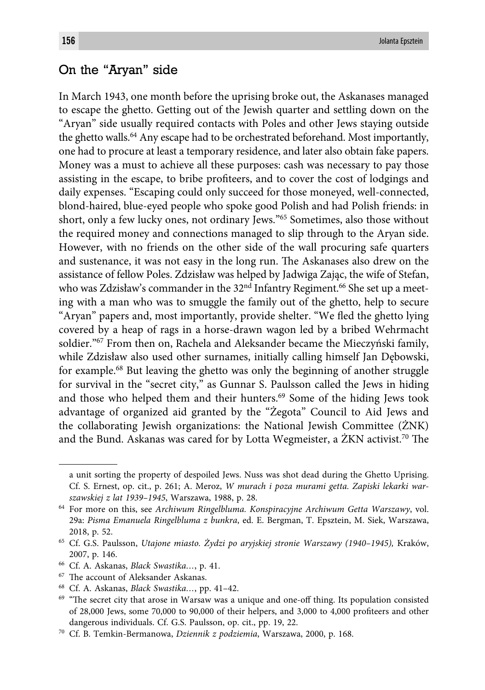# On the "Aryan" side

In March 1943, one month before the uprising broke out, the Askanases managed to escape the ghetto. Getting out of the Jewish quarter and settling down on the "Aryan" side usually required contacts with Poles and other Jews staying outside the ghetto walls.<sup>64</sup> Any escape had to be orchestrated beforehand. Most importantly, one had to procure at least a temporary residence, and later also obtain fake papers. Money was a must to achieve all these purposes: cash was necessary to pay those assisting in the escape, to bribe profiteers, and to cover the cost of lodgings and daily expenses. "Escaping could only succeed for those moneyed, well-connected, blond-haired, blue-eyed people who spoke good Polish and had Polish friends: in short, only a few lucky ones, not ordinary Jews."65 Sometimes, also those without the required money and connections managed to slip through to the Aryan side. However, with no friends on the other side of the wall procuring safe quarters and sustenance, it was not easy in the long run. The Askanases also drew on the assistance of fellow Poles. Zdzisław was helped by Jadwiga Zając, the wife of Stefan, who was Zdzisław's commander in the  $32<sup>nd</sup>$  Infantry Regiment.<sup>66</sup> She set up a meeting with a man who was to smuggle the family out of the ghetto, help to secure "Aryan" papers and, most importantly, provide shelter. "We fled the ghetto lying covered by a heap of rags in a horse-drawn wagon led by a bribed Wehrmacht soldier."67 From then on, Rachela and Aleksander became the Mieczyński family, while Zdzisław also used other surnames, initially calling himself Jan Dębowski, for example.68 But leaving the ghetto was only the beginning of another struggle for survival in the "secret city," as Gunnar S. Paulsson called the Jews in hiding and those who helped them and their hunters.<sup>69</sup> Some of the hiding Jews took advantage of organized aid granted by the "Żegota" Council to Aid Jews and the collaborating Jewish organizations: the National Jewish Committee (ŻNK) and the Bund. Askanas was cared for by Lotta Wegmeister, a  $\ddot{Z}KN$  activist.<sup>70</sup> The

a unit sorting the property of despoiled Jews. Nuss was shot dead during the Ghetto Uprising. Cf. S. Ernest, op. cit., p. 261; A. Meroz, *W murach i poza murami getta. Zapiski lekarki warszawskiej z lat 1939–1945*, Warszawa, 1988, p. 28.

<sup>64</sup> For more on this, see *Archiwum Ringelbluma. Konspiracyjne Archiwum Getta Warszawy*, vol. 29a: *Pisma Emanuela Ringelbluma z bunkra*, ed. E. Bergman, T. Epsztein, M. Siek, Warszawa, 2018, p. 52.

<sup>65</sup> Cf. G.S. Paulsson, *Utajone miasto. Żydzi po aryjskiej stronie Warszawy (1940–1945),* Kraków, 2007, p. 146.

<sup>66</sup> Cf. A. Askanas, *Black Swastika…*, p. 41.

<sup>&</sup>lt;sup>67</sup> The account of Aleksander Askanas.

<sup>68</sup> Cf. A. Askanas, *Black Swastika…*, pp. 41–42.

<sup>&</sup>lt;sup>69</sup> "The secret city that arose in Warsaw was a unique and one-off thing. Its population consisted of  $28,000$  Jews, some  $70,000$  to  $90,000$  of their helpers, and  $3,000$  to  $4,000$  profiteers and other dangerous individuals. Cf. G.S. Paulsson, op. cit., pp. 19, 22.

<sup>70</sup> Cf. B. Temkin-Bermanowa, *Dziennik z podziemia*, Warszawa, 2000, p. 168.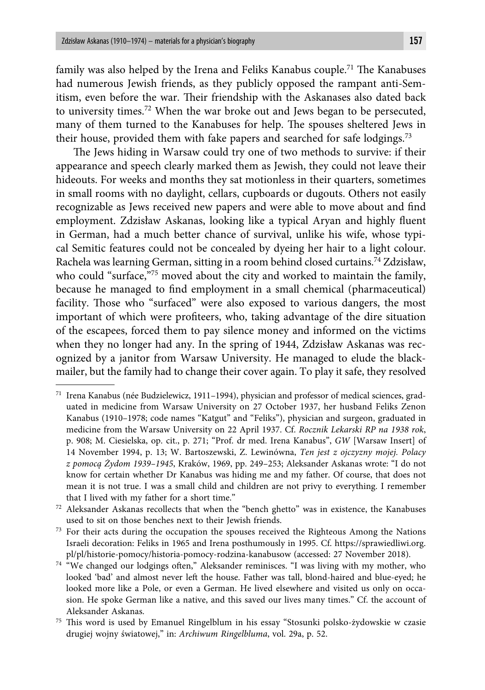family was also helped by the Irena and Feliks Kanabus couple.<sup>71</sup> The Kanabuses had numerous Jewish friends, as they publicly opposed the rampant anti-Semitism, even before the war. Their friendship with the Askanases also dated back to university times.72 When the war broke out and Jews began to be persecuted, many of them turned to the Kanabuses for help. The spouses sheltered Jews in their house, provided them with fake papers and searched for safe lodgings.<sup>73</sup>

The Jews hiding in Warsaw could try one of two methods to survive: if their appearance and speech clearly marked them as Jewish, they could not leave their hideouts. For weeks and months they sat motionless in their quarters, sometimes in small rooms with no daylight, cellars, cupboards or dugouts. Others not easily recognizable as Jews received new papers and were able to move about and find employment. Zdzisław Askanas, looking like a typical Aryan and highly fluent in German, had a much better chance of survival, unlike his wife, whose typical Semitic features could not be concealed by dyeing her hair to a light colour. Rachela was learning German, sitting in a room behind closed curtains.74 Zdzisław, who could "surface,"75 moved about the city and worked to maintain the family, because he managed to find employment in a small chemical (pharmaceutical) facility. Those who "surfaced" were also exposed to various dangers, the most important of which were profiteers, who, taking advantage of the dire situation of the escapees, forced them to pay silence money and informed on the victims when they no longer had any. In the spring of 1944, Zdzisław Askanas was recognized by a janitor from Warsaw University. He managed to elude the blackmailer, but the family had to change their cover again. To play it safe, they resolved

<sup>73</sup> For their acts during the occupation the spouses received the Righteous Among the Nations Israeli decoration: Feliks in 1965 and Irena posthumously in 1995. Cf. https://sprawiedliwi.org. pl/pl/historie-pomocy/historia-pomocy-rodzina-kanabusow (accessed: 27 November 2018).

<sup>71</sup> Irena Kanabus (née Budzielewicz, 1911–1994), physician and professor of medical sciences, graduated in medicine from Warsaw University on 27 October 1937, her husband Feliks Zenon Kanabus (1910–1978; code names "Katgut" and "Feliks"), physician and surgeon, graduated in medicine from the Warsaw University on 22 April 1937. Cf. *Rocznik Lekarski RP na 1938 rok*, p. 908; M. Ciesielska, op. cit., p. 271; "Prof. dr med. Irena Kanabus", *GW* [Warsaw Insert] of 14 November 1994, p. 13; W. Bartoszewski, Z. Lewinówna, *Ten jest z ojczyzny mojej. Polacy z pomocą Żydom 1939–1945*, Kraków, 1969, pp. 249–253; Aleksander Askanas wrote: "I do not know for certain whether Dr Kanabus was hiding me and my father. Of course, that does not mean it is not true. I was a small child and children are not privy to everything. I remember that I lived with my father for a short time."

<sup>72</sup> Aleksander Askanas recollects that when the "bench ghetto" was in existence, the Kanabuses used to sit on those benches next to their Jewish friends.

 $^{74}$  "We changed our lodgings often," Aleksander reminisces. "I was living with my mother, who looked 'bad' and almost never left the house. Father was tall, blond-haired and blue-eyed; he looked more like a Pole, or even a German. He lived elsewhere and visited us only on occasion. He spoke German like a native, and this saved our lives many times." Cf. the account of Aleksander Askanas.

<sup>&</sup>lt;sup>75</sup> This word is used by Emanuel Ringelblum in his essay "Stosunki polsko-żydowskie w czasie drugiej wojny światowej," in: *Archiwum Ringelbluma*, vol. 29a, p. 52.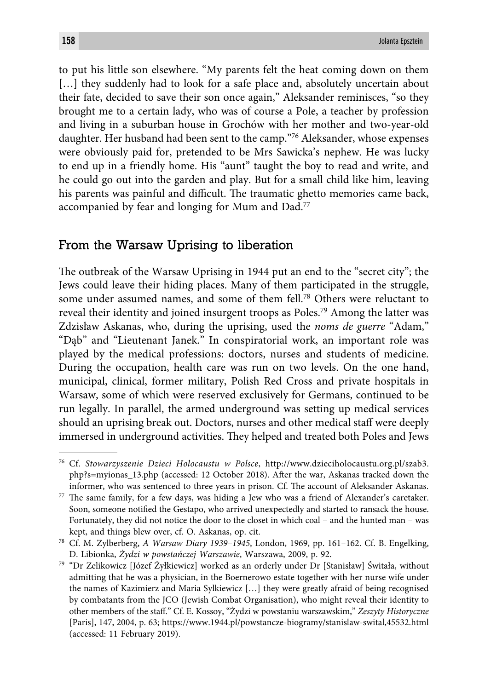to put his little son elsewhere. "My parents felt the heat coming down on them [...] they suddenly had to look for a safe place and, absolutely uncertain about their fate, decided to save their son once again," Aleksander reminisces, "so they brought me to a certain lady, who was of course a Pole, a teacher by profession and living in a suburban house in Grochów with her mother and two-year-old daughter. Her husband had been sent to the camp."76 Aleksander, whose expenses were obviously paid for, pretended to be Mrs Sawicka's nephew. He was lucky to end up in a friendly home. His "aunt" taught the boy to read and write, and he could go out into the garden and play. But for a small child like him, leaving his parents was painful and difficult. The traumatic ghetto memories came back, accompanied by fear and longing for Mum and Dad.<sup>77</sup>

## From the Warsaw Uprising to liberation

The outbreak of the Warsaw Uprising in 1944 put an end to the "secret city"; the Jews could leave their hiding places. Many of them participated in the struggle, some under assumed names, and some of them fell.78 Others were reluctant to reveal their identity and joined insurgent troops as Poles.79 Among the latter was Zdzisław Askanas, who, during the uprising, used the *noms de guerre* "Adam," "Dąb" and "Lieutenant Janek." In conspiratorial work, an important role was played by the medical professions: doctors, nurses and students of medicine. During the occupation, health care was run on two levels. On the one hand, municipal, clinical, former military, Polish Red Cross and private hospitals in Warsaw, some of which were reserved exclusively for Germans, continued to be run legally. In parallel, the armed underground was setting up medical services should an uprising break out. Doctors, nurses and other medical staff were deeply immersed in underground activities. They helped and treated both Poles and Jews

<sup>76</sup> Cf. *Stowarzyszenie Dzieci Holocaustu w Polsce*, http://www.dzieciholocaustu.org.pl/szab3. php?s=myionas\_13.php (accessed: 12 October 2018). After the war, Askanas tracked down the informer, who was sentenced to three years in prison. Cf. The account of Aleksander Askanas.

 $77$  The same family, for a few days, was hiding a Jew who was a friend of Alexander's caretaker. Soon, someone notified the Gestapo, who arrived unexpectedly and started to ransack the house. Fortunately, they did not notice the door to the closet in which coal – and the hunted man – was kept, and things blew over, cf. O. Askanas, op. cit.

<sup>78</sup> Cf. M. Zylberberg, *A Warsaw Diary 1939–1945*, London, 1969, pp. 161–162. Cf. B. Engelking, D. Libionka, *Żydzi w powstańczej Warszawie*, Warszawa, 2009, p. 92.

<sup>79 &</sup>quot;Dr Zelikowicz [Józef Żyłkiewicz] worked as an orderly under Dr [Stanisław] Świtała, without admitting that he was a physician, in the Boernerowo estate together with her nurse wife under the names of Kazimierz and Maria Sylkiewicz […] they were greatly afraid of being recognised by combatants from the JCO (Jewish Combat Organisation), who might reveal their identity to other members of the staff ." Cf. E. Kossoy, "Żydzi w powstaniu warszawskim," *Zeszyty Historyczne* [Paris], 147, 2004, p. 63; https://www.1944.pl/powstancze-biogramy/stanislaw-swital,45532.html (accessed: 11 February 2019).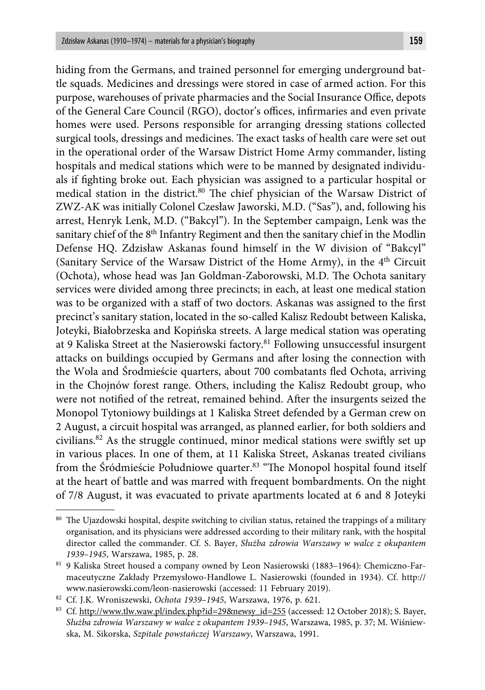hiding from the Germans, and trained personnel for emerging underground battle squads. Medicines and dressings were stored in case of armed action. For this purpose, warehouses of private pharmacies and the Social Insurance Office, depots of the General Care Council (RGO), doctor's offices, infirmaries and even private homes were used. Persons responsible for arranging dressing stations collected surgical tools, dressings and medicines. The exact tasks of health care were set out in the operational order of the Warsaw District Home Army commander, listing hospitals and medical stations which were to be manned by designated individuals if fighting broke out. Each physician was assigned to a particular hospital or medical station in the district.<sup>80</sup> The chief physician of the Warsaw District of ZWZ-AK was initially Colonel Czesław Jaworski, M.D. ("Sas"), and, following his arrest, Henryk Lenk, M.D. ("Bakcyl"). In the September campaign, Lenk was the sanitary chief of the  $8<sup>th</sup>$  Infantry Regiment and then the sanitary chief in the Modlin Defense HQ. Zdzisław Askanas found himself in the W division of "Bakcyl" (Sanitary Service of the Warsaw District of the Home Army), in the 4<sup>th</sup> Circuit (Ochota), whose head was Jan Goldman-Zaborowski, M.D. The Ochota sanitary services were divided among three precincts; in each, at least one medical station was to be organized with a staff of two doctors. Askanas was assigned to the first precinct's sanitary station, located in the so-called Kalisz Redoubt between Kaliska, Joteyki, Białobrzeska and Kopińska streets. A large medical station was operating at 9 Kaliska Street at the Nasierowski factory.<sup>81</sup> Following unsuccessful insurgent attacks on buildings occupied by Germans and after losing the connection with the Wola and Środmieście quarters, about 700 combatants fled Ochota, arriving in the Chojnów forest range. Others, including the Kalisz Redoubt group, who were not notified of the retreat, remained behind. After the insurgents seized the Monopol Tytoniowy buildings at 1 Kaliska Street defended by a German crew on 2 August, a circuit hospital was arranged, as planned earlier, for both soldiers and civilians.<sup>82</sup> As the struggle continued, minor medical stations were swiftly set up in various places. In one of them, at 11 Kaliska Street, Askanas treated civilians from the Śródmieście Południowe quarter.<sup>83</sup> "The Monopol hospital found itself at the heart of battle and was marred with frequent bombardments. On the night of 7/8 August, it was evacuated to private apartments located at 6 and 8 Joteyki

 $80$  The Ujazdowski hospital, despite switching to civilian status, retained the trappings of a military organisation, and its physicians were addressed according to their military rank, with the hospital director called the commander. Cf. S. Bayer, *Służba zdrowia Warszawy w walce z okupantem 1939–1945*, Warszawa, 1985, p. 28.

<sup>81 9</sup> Kaliska Street housed a company owned by Leon Nasierowski (1883–1964): Chemiczno-Farmaceutyczne Zakłady Przemysłowo-Handlowe L. Nasierowski (founded in 1934). Cf. http:// www.nasierowski.com/leon-nasierowski (accessed: 11 February 2019).

<sup>82</sup> Cf. J.K. Wroniszewski, *Ochota 1939–1945*, Warszawa, 1976, p. 621.

<sup>83</sup> Cf. http://www.tlw.waw.pl/index.php?id=29&newsy\_id=255 (accessed: 12 October 2018); S. Bayer, *Służba zdrowia Warszawy w walce z okupantem 1939–1945*, Warszawa, 1985, p. 37; M. Wiśniewska, M. Sikorska, *Szpitale powstańczej Warszawy*, Warszawa, 1991.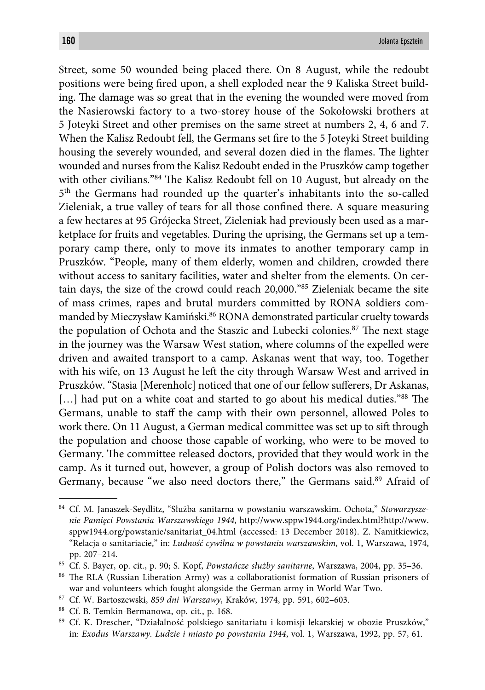Street, some 50 wounded being placed there. On 8 August, while the redoubt positions were being fired upon, a shell exploded near the 9 Kaliska Street building. The damage was so great that in the evening the wounded were moved from the Nasierowski factory to a two-storey house of the Sokołowski brothers at 5 Joteyki Street and other premises on the same street at numbers 2, 4, 6 and 7. When the Kalisz Redoubt fell, the Germans set fire to the 5 Joteyki Street building housing the severely wounded, and several dozen died in the flames. The lighter wounded and nurses from the Kalisz Redoubt ended in the Pruszków camp together with other civilians."<sup>84</sup> The Kalisz Redoubt fell on 10 August, but already on the 5th the Germans had rounded up the quarter's inhabitants into the so-called Zieleniak, a true valley of tears for all those confined there. A square measuring a few hectares at 95 Grójecka Street, Zieleniak had previously been used as a marketplace for fruits and vegetables. During the uprising, the Germans set up a temporary camp there, only to move its inmates to another temporary camp in Pruszków. "People, many of them elderly, women and children, crowded there without access to sanitary facilities, water and shelter from the elements. On certain days, the size of the crowd could reach 20,000."85 Zieleniak became the site of mass crimes, rapes and brutal murders committed by RONA soldiers commanded by Mieczysław Kamiński.<sup>86</sup> RONA demonstrated particular cruelty towards the population of Ochota and the Staszic and Lubecki colonies.<sup>87</sup> The next stage in the journey was the Warsaw West station, where columns of the expelled were driven and awaited transport to a camp. Askanas went that way, too. Together with his wife, on 13 August he left the city through Warsaw West and arrived in Pruszków. "Stasia [Merenholc] noticed that one of our fellow sufferers, Dr Askanas, [...] had put on a white coat and started to go about his medical duties."88 The Germans, unable to staff the camp with their own personnel, allowed Poles to work there. On 11 August, a German medical committee was set up to sift through the population and choose those capable of working, who were to be moved to Germany. The committee released doctors, provided that they would work in the camp. As it turned out, however, a group of Polish doctors was also removed to Germany, because "we also need doctors there," the Germans said.<sup>89</sup> Afraid of

<sup>84</sup> Cf. M. Janaszek-Seydlitz, "Służba sanitarna w powstaniu warszawskim. Ochota," *Stowarzyszenie Pamięci Powstania Warszawskiego 1944*, http://www.sppw1944.org/index.html?http://www. sppw1944.org/powstanie/sanitariat\_04.html (accessed: 13 December 2018). Z. Namitkiewicz, "Relacja o sanitariacie," in: *Ludność cywilna w powstaniu warszawskim*, vol. 1, Warszawa, 1974, pp. 207–214.

<sup>85</sup> Cf. S. Bayer, op. cit*.*, p. 90; S. Kopf, *Powstańcze służby sanitarne*, Warszawa, 2004, pp. 35–36.

<sup>&</sup>lt;sup>86</sup> The RLA (Russian Liberation Army) was a collaborationist formation of Russian prisoners of war and volunteers which fought alongside the German army in World War Two.

<sup>87</sup> Cf. W. Bartoszewski, *859 dni Warszawy*, Kraków, 1974, pp. 591, 602–603.

<sup>88</sup> Cf. B. Temkin-Bermanowa, op. cit*.*, p. 168.

<sup>89</sup> Cf. K. Drescher, "Działalność polskiego sanitariatu i komisji lekarskiej w obozie Pruszków," in: *Exodus Warszawy. Ludzie i miasto po powstaniu 1944*, vol. 1, Warszawa, 1992, pp. 57, 61.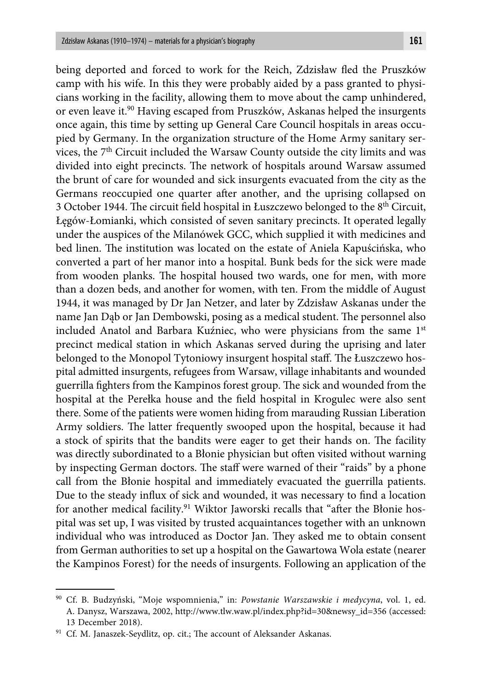being deported and forced to work for the Reich, Zdzisław fled the Pruszków camp with his wife. In this they were probably aided by a pass granted to physicians working in the facility, allowing them to move about the camp unhindered, or even leave it.90 Having escaped from Pruszków, Askanas helped the insurgents once again, this time by setting up General Care Council hospitals in areas occupied by Germany. In the organization structure of the Home Army sanitary services, the 7<sup>th</sup> Circuit included the Warsaw County outside the city limits and was divided into eight precincts. The network of hospitals around Warsaw assumed the brunt of care for wounded and sick insurgents evacuated from the city as the Germans reoccupied one quarter after another, and the uprising collapsed on 3 October 1944. The circuit field hospital in Łuszczewo belonged to the  $8<sup>th</sup>$  Circuit, Łęgów-Łomianki, which consisted of seven sanitary precincts. It operated legally under the auspices of the Milanówek GCC, which supplied it with medicines and bed linen. The institution was located on the estate of Aniela Kapuścińska, who converted a part of her manor into a hospital. Bunk beds for the sick were made from wooden planks. The hospital housed two wards, one for men, with more than a dozen beds, and another for women, with ten. From the middle of August 1944, it was managed by Dr Jan Netzer, and later by Zdzisław Askanas under the name Jan Dąb or Jan Dembowski, posing as a medical student. The personnel also included Anatol and Barbara Kuźniec, who were physicians from the same 1st precinct medical station in which Askanas served during the uprising and later belonged to the Monopol Tytoniowy insurgent hospital staff. The Łuszczewo hospital admitted insurgents, refugees from Warsaw, village inhabitants and wounded guerrilla fighters from the Kampinos forest group. The sick and wounded from the hospital at the Perełka house and the field hospital in Krogulec were also sent there. Some of the patients were women hiding from marauding Russian Liberation Army soldiers. The latter frequently swooped upon the hospital, because it had a stock of spirits that the bandits were eager to get their hands on. The facility was directly subordinated to a Błonie physician but often visited without warning by inspecting German doctors. The staff were warned of their "raids" by a phone call from the Błonie hospital and immediately evacuated the guerrilla patients. Due to the steady influx of sick and wounded, it was necessary to find a location for another medical facility.<sup>91</sup> Wiktor Jaworski recalls that "after the Błonie hospital was set up, I was visited by trusted acquaintances together with an unknown individual who was introduced as Doctor Jan. They asked me to obtain consent from German authorities to set up a hospital on the Gawartowa Wola estate (nearer the Kampinos Forest) for the needs of insurgents. Following an application of the

<sup>90</sup> Cf. B. Budzyński, "Moje wspomnienia," in: *Powstanie Warszawskie i medycyna*, vol. 1, ed. A. Danysz, Warszawa, 2002, http://www.tlw.waw.pl/index.php?id=30&newsy\_id=356 (accessed: 13 December 2018).

<sup>&</sup>lt;sup>91</sup> Cf. M. Janaszek-Seydlitz, op. cit.; The account of Aleksander Askanas.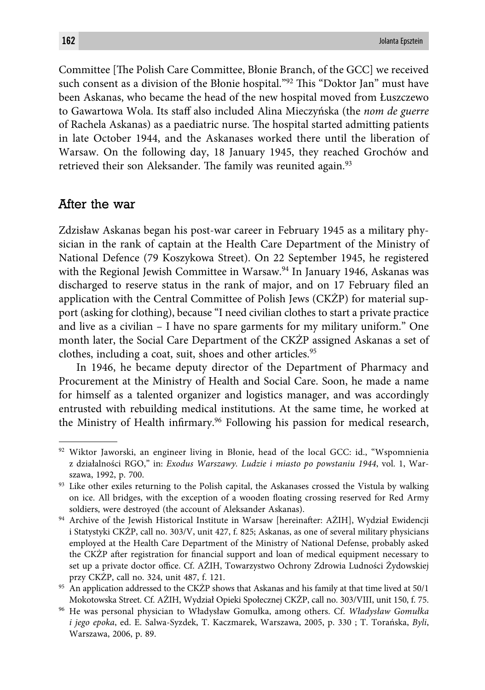Committee [The Polish Care Committee, Błonie Branch, of the GCC] we received such consent as a division of the Błonie hospital."<sup>92</sup> This "Doktor Jan" must have been Askanas, who became the head of the new hospital moved from Łuszczewo to Gawartowa Wola. Its staff also included Alina Mieczyńska (the *nom de guerre* of Rachela Askanas) as a paediatric nurse. The hospital started admitting patients in late October 1944, and the Askanases worked there until the liberation of Warsaw. On the following day, 18 January 1945, they reached Grochów and retrieved their son Aleksander. The family was reunited again.<sup>93</sup>

## After the war

Zdzisław Askanas began his post-war career in February 1945 as a military physician in the rank of captain at the Health Care Department of the Ministry of National Defence (79 Koszykowa Street). On 22 September 1945, he registered with the Regional Jewish Committee in Warsaw.<sup>94</sup> In January 1946, Askanas was discharged to reserve status in the rank of major, and on 17 February filed an application with the Central Committee of Polish Jews (CKŻP) for material support (asking for clothing), because "I need civilian clothes to start a private practice and live as a civilian – I have no spare garments for my military uniform." One month later, the Social Care Department of the CKŻP assigned Askanas a set of clothes, including a coat, suit, shoes and other articles.<sup>95</sup>

In 1946, he became deputy director of the Department of Pharmacy and Procurement at the Ministry of Health and Social Care. Soon, he made a name for himself as a talented organizer and logistics manager, and was accordingly entrusted with rebuilding medical institutions. At the same time, he worked at the Ministry of Health infirmary.<sup>96</sup> Following his passion for medical research,

<sup>92</sup> Wiktor Jaworski, an engineer living in Błonie, head of the local GCC: id., "Wspomnienia z działalności RGO," in: *Exodus Warszawy. Ludzie i miasto po powstaniu 1944*, vol. 1, Warszawa, 1992, p. 700.

<sup>&</sup>lt;sup>93</sup> Like other exiles returning to the Polish capital, the Askanases crossed the Vistula by walking on ice. All bridges, with the exception of a wooden floating crossing reserved for Red Army soldiers, were destroyed (the account of Aleksander Askanas).

<sup>94</sup> Archive of the Jewish Historical Institute in Warsaw [hereinafter: AŻIH], Wydział Ewidencji i Statystyki CKŻP, call no. 303/V, unit 427, f. 825; Askanas, as one of several military physicians employed at the Health Care Department of the Ministry of National Defense, probably asked the CKŻP after registration for financial support and loan of medical equipment necessary to set up a private doctor office. Cf. AŻIH, Towarzystwo Ochrony Zdrowia Ludności Żydowskiej przy CKŻP, call no. 324, unit 487, f. 121.

 $95\,$  An application addressed to the CKŻP shows that Askanas and his family at that time lived at 50/1 Mokotowska Street. Cf. AŻIH, Wydział Opieki Społecznej CKŻP, call no. 303/VIII, unit 150, f. 75.

<sup>96</sup> He was personal physician to Władysław Gomułka, among others. Cf. *Władysław Gomułka i jego epoka*, ed. E. Salwa-Syzdek, T. Kaczmarek, Warszawa, 2005, p. 330 ; T. Torańska, *Byli*, Warszawa, 2006, p. 89.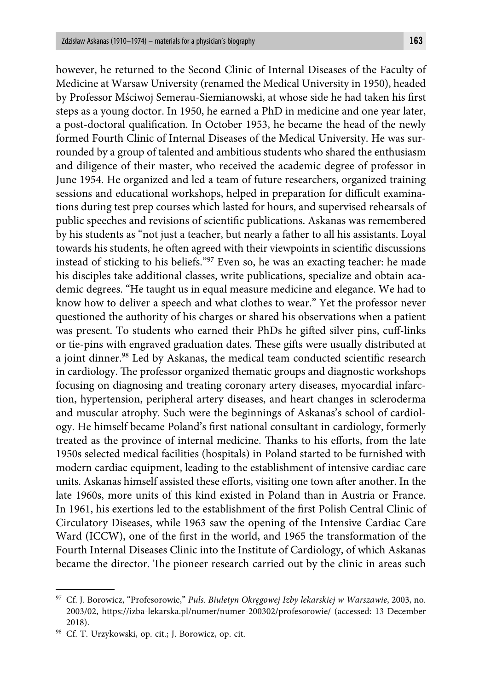however, he returned to the Second Clinic of Internal Diseases of the Faculty of Medicine at Warsaw University (renamed the Medical University in 1950), headed by Professor Mściwoj Semerau-Siemianowski, at whose side he had taken his first steps as a young doctor. In 1950, he earned a PhD in medicine and one year later, a post-doctoral qualification. In October 1953, he became the head of the newly formed Fourth Clinic of Internal Diseases of the Medical University. He was surrounded by a group of talented and ambitious students who shared the enthusiasm and diligence of their master, who received the academic degree of professor in June 1954. He organized and led a team of future researchers, organized training sessions and educational workshops, helped in preparation for difficult examinations during test prep courses which lasted for hours, and supervised rehearsals of public speeches and revisions of scientific publications. Askanas was remembered by his students as "not just a teacher, but nearly a father to all his assistants. Loyal towards his students, he often agreed with their viewpoints in scientific discussions instead of sticking to his beliefs."97 Even so, he was an exacting teacher: he made his disciples take additional classes, write publications, specialize and obtain academic degrees. "He taught us in equal measure medicine and elegance. We had to know how to deliver a speech and what clothes to wear." Yet the professor never questioned the authority of his charges or shared his observations when a patient was present. To students who earned their PhDs he gifted silver pins, cuff-links or tie-pins with engraved graduation dates. These gifts were usually distributed at a joint dinner.<sup>98</sup> Led by Askanas, the medical team conducted scientific research in cardiology. The professor organized thematic groups and diagnostic workshops focusing on diagnosing and treating coronary artery diseases, myocardial infarction, hypertension, peripheral artery diseases, and heart changes in scleroderma and muscular atrophy. Such were the beginnings of Askanas's school of cardiology. He himself became Poland's first national consultant in cardiology, formerly treated as the province of internal medicine. Thanks to his efforts, from the late 1950s selected medical facilities (hospitals) in Poland started to be furnished with modern cardiac equipment, leading to the establishment of intensive cardiac care units. Askanas himself assisted these efforts, visiting one town after another. In the late 1960s, more units of this kind existed in Poland than in Austria or France. In 1961, his exertions led to the establishment of the first Polish Central Clinic of Circulatory Diseases, while 1963 saw the opening of the Intensive Cardiac Care Ward (ICCW), one of the first in the world, and 1965 the transformation of the Fourth Internal Diseases Clinic into the Institute of Cardiology, of which Askanas became the director. The pioneer research carried out by the clinic in areas such

<sup>97</sup> Cf. J. Borowicz, "Profesorowie," *Puls. Biuletyn Okręgowej Izby lekarskiej w Warszawie*, 2003, no. 2003/02, https://izba-lekarska.pl/numer/numer-200302/profesorowie/ (accessed: 13 December 2018).

<sup>98</sup> Cf. T. Urzykowski, op. cit.; J. Borowicz, op. cit.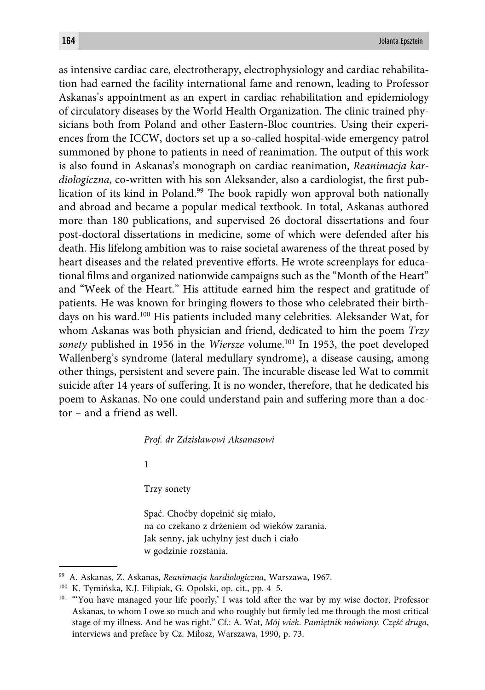as intensive cardiac care, electrotherapy, electrophysiology and cardiac rehabilitation had earned the facility international fame and renown, leading to Professor Askanas's appointment as an expert in cardiac rehabilitation and epidemiology of circulatory diseases by the World Health Organization. The clinic trained physicians both from Poland and other Eastern-Bloc countries. Using their experiences from the ICCW, doctors set up a so-called hospital-wide emergency patrol summoned by phone to patients in need of reanimation. The output of this work is also found in Askanas's monograph on cardiac reanimation, *Reanimacja kardiologiczna*, co-written with his son Aleksander, also a cardiologist, the first publication of its kind in Poland.<sup>99</sup> The book rapidly won approval both nationally and abroad and became a popular medical textbook. In total, Askanas authored more than 180 publications, and supervised 26 doctoral dissertations and four post-doctoral dissertations in medicine, some of which were defended after his death. His lifelong ambition was to raise societal awareness of the threat posed by heart diseases and the related preventive efforts. He wrote screenplays for educational films and organized nationwide campaigns such as the "Month of the Heart" and "Week of the Heart." His attitude earned him the respect and gratitude of patients. He was known for bringing flowers to those who celebrated their birthdays on his ward.100 His patients included many celebrities. Aleksander Wat, for whom Askanas was both physician and friend, dedicated to him the poem *Trzy sonety* published in 1956 in the *Wiersze* volume.<sup>101</sup> In 1953, the poet developed Wallenberg's syndrome (lateral medullary syndrome), a disease causing, among other things, persistent and severe pain. The incurable disease led Wat to commit suicide after 14 years of suffering. It is no wonder, therefore, that he dedicated his poem to Askanas. No one could understand pain and suffering more than a doctor – and a friend as well.

*Prof. dr Zdzisławowi Aksanasowi*

1

Trzy sonety

Spać. Choćby dopełnić się miało, na co czekano z drżeniem od wieków zarania. Jak senny, jak uchylny jest duch i ciało w godzinie rozstania.

<sup>99</sup> A. Askanas, Z. Askanas, *Reanimacja kardiologiczna*, Warszawa, 1967.

<sup>100</sup> K. Tymińska, K.J. Filipiak, G. Opolski, op. cit., pp. 4–5.

<sup>&</sup>lt;sup>101</sup> "You have managed your life poorly,' I was told after the war by my wise doctor, Professor Askanas, to whom I owe so much and who roughly but firmly led me through the most critical stage of my illness. And he was right." Cf.: A. Wat, *Mój wiek*. *Pamiętnik mówiony. Część druga*, interviews and preface by Cz. Miłosz, Warszawa, 1990, p. 73.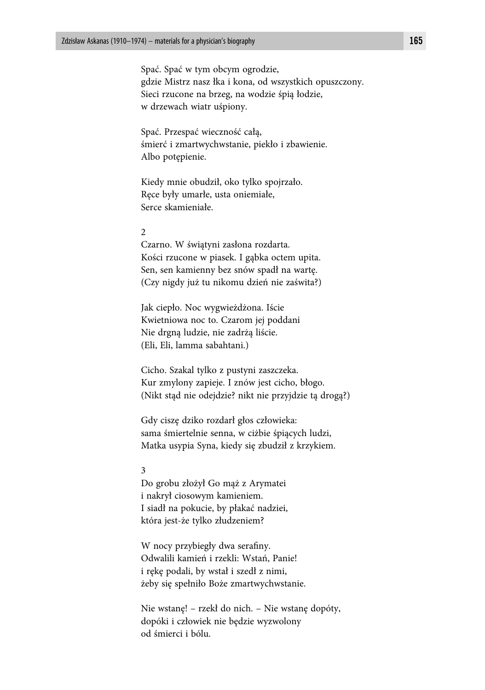Spać. Spać w tym obcym ogrodzie, gdzie Mistrz nasz łka i kona, od wszystkich opuszczony. Sieci rzucone na brzeg, na wodzie śpią łodzie, w drzewach wiatr uśpiony.

Spać. Przespać wieczność całą, śmierć i zmartwychwstanie, piekło i zbawienie. Albo potępienie.

Kiedy mnie obudził, oko tylko spojrzało. Ręce były umarłe, usta oniemiałe, Serce skamieniałe.

### 2

Czarno. W świątyni zasłona rozdarta. Kości rzucone w piasek. I gąbka octem upita. Sen, sen kamienny bez snów spadł na wartę. (Czy nigdy już tu nikomu dzień nie zaświta?)

Jak ciepło. Noc wygwieżdżona. Iście Kwietniowa noc to. Czarom jej poddani Nie drgną ludzie, nie zadrżą liście. (Eli, Eli, lamma sabahtani.)

Cicho. Szakal tylko z pustyni zaszczeka. Kur zmylony zapieje. I znów jest cicho, błogo. (Nikt stąd nie odejdzie? nikt nie przyjdzie tą drogą?)

Gdy ciszę dziko rozdarł głos człowieka: sama śmiertelnie senna, w ciżbie śpiących ludzi, Matka usypia Syna, kiedy się zbudził z krzykiem.

#### 3

Do grobu złożył Go mąż z Arymatei i nakrył ciosowym kamieniem. I siadł na pokucie, by płakać nadziei, która jest-że tylko złudzeniem?

W nocy przybiegły dwa serafiny. Odwalili kamień i rzekli: Wstań, Panie! i rękę podali, by wstał i szedł z nimi, żeby się spełniło Boże zmartwychwstanie.

Nie wstanę! – rzekł do nich. – Nie wstanę dopóty, dopóki i człowiek nie będzie wyzwolony od śmierci i bólu.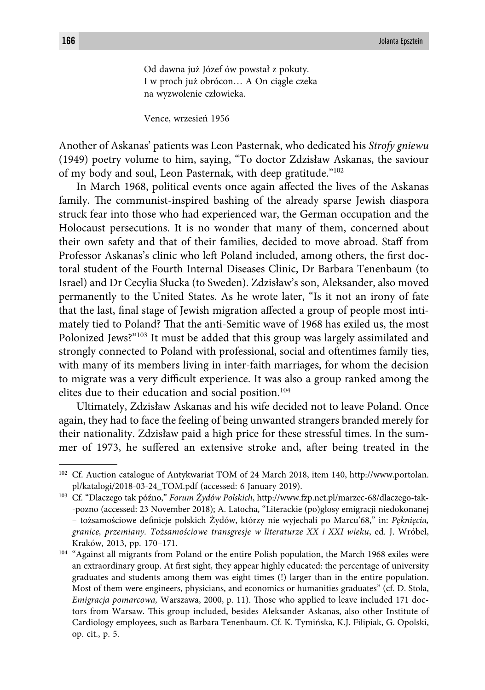Od dawna już Józef ów powstał z pokuty. I w proch już obrócon… A On ciągle czeka na wyzwolenie człowieka.

Vence, wrzesień 1956

Another of Askanas' patients was Leon Pasternak, who dedicated his *Strofy gniewu* (1949) poetry volume to him, saying, "To doctor Zdzisław Askanas, the saviour of my body and soul, Leon Pasternak, with deep gratitude."102

In March 1968, political events once again affected the lives of the Askanas family. The communist-inspired bashing of the already sparse Jewish diaspora struck fear into those who had experienced war, the German occupation and the Holocaust persecutions. It is no wonder that many of them, concerned about their own safety and that of their families, decided to move abroad. Staff from Professor Askanas's clinic who left Poland included, among others, the first doctoral student of the Fourth Internal Diseases Clinic, Dr Barbara Tenenbaum (to Israel) and Dr Cecylia Słucka (to Sweden). Zdzisław's son, Aleksander, also moved permanently to the United States. As he wrote later, "Is it not an irony of fate that the last, final stage of Jewish migration affected a group of people most intimately tied to Poland? That the anti-Semitic wave of 1968 has exiled us, the most Polonized Jews?"103 It must be added that this group was largely assimilated and strongly connected to Poland with professional, social and oftentimes family ties, with many of its members living in inter-faith marriages, for whom the decision to migrate was a very difficult experience. It was also a group ranked among the elites due to their education and social position.<sup>104</sup>

Ultimately, Zdzisław Askanas and his wife decided not to leave Poland. Once again, they had to face the feeling of being unwanted strangers branded merely for their nationality. Zdzisław paid a high price for these stressful times. In the summer of 1973, he suffered an extensive stroke and, after being treated in the

<sup>102</sup> Cf. Auction catalogue of Antykwariat TOM of 24 March 2018, item 140, http://www.portolan. pl/katalogi/2018-03-24\_TOM.pdf (accessed: 6 January 2019).

<sup>103</sup> Cf. "Dlaczego tak późno," *Forum Żydów Polskich*, http://www.fzp.net.pl/marzec-68/dlaczego-tak- -pozno (accessed: 23 November 2018); A. Latocha, "Literackie (po)głosy emigracji niedokonanej – tożsamościowe defi nicje polskich Żydów, którzy nie wyjechali po Marcu'68," in: *Pęknięcia, granice, przemiany. Tożsamościowe transgresje w literaturze XX i XXI wieku*, ed. J. Wróbel, Kraków, 2013, pp. 170–171.

<sup>&</sup>lt;sup>104</sup> "Against all migrants from Poland or the entire Polish population, the March 1968 exiles were an extraordinary group. At first sight, they appear highly educated: the percentage of university graduates and students among them was eight times (!) larger than in the entire population. Most of them were engineers, physicians, and economics or humanities graduates" (cf. D. Stola, *Emigracja pomarcowa, Warszawa, 2000, p. 11). Those who applied to leave included 171 doc*tors from Warsaw. This group included, besides Aleksander Askanas, also other Institute of Cardiology employees, such as Barbara Tenenbaum. Cf. K. Tymińska, K.J. Filipiak, G. Opolski, op. cit., p. 5.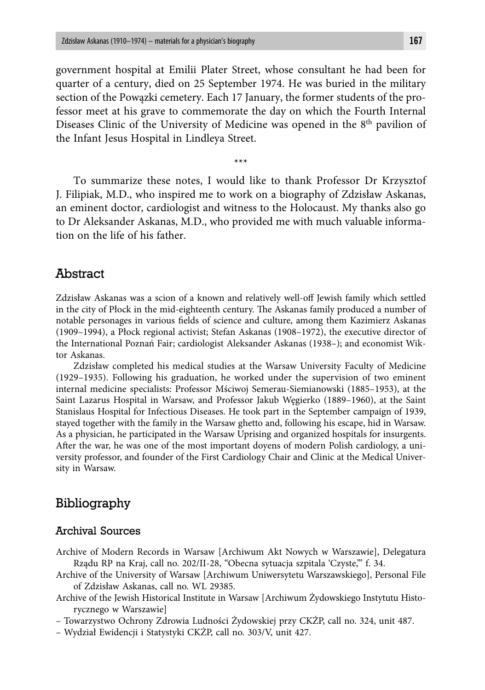government hospital at Emilii Plater Street, whose consultant he had been for quarter of a century, died on 25 September 1974. He was buried in the military section of the Powązki cemetery. Each 17 January, the former students of the professor meet at his grave to commemorate the day on which the Fourth Internal Diseases Clinic of the University of Medicine was opened in the 8<sup>th</sup> pavilion of the Infant Jesus Hospital in Lindleya Street.

\*\*\*

To summarize these notes, I would like to thank Professor Dr Krzysztof J. Filipiak, M.D., who inspired me to work on a biography of Zdzisław Askanas, an eminent doctor, cardiologist and witness to the Holocaust. My thanks also go to Dr Aleksander Askanas, M.D., who provided me with much valuable information on the life of his father.

## Abstract

Zdzisław Askanas was a scion of a known and relatively well-off Jewish family which settled in the city of Płock in the mid-eighteenth century. The Askanas family produced a number of notable personages in various fields of science and culture, among them Kazimierz Askanas (1909–1994), a Płock regional activist; Stefan Askanas (1908–1972), the executive director of the International Poznań Fair; cardiologist Aleksander Askanas (1938–); and economist Wiktor Askanas.

Zdzisław completed his medical studies at the Warsaw University Faculty of Medicine (1929–1935). Following his graduation, he worked under the supervision of two eminent internal medicine specialists: Professor Mściwoj Semerau-Siemianowski (1885–1953), at the Saint Lazarus Hospital in Warsaw, and Professor Jakub Węgierko (1889–1960), at the Saint Stanislaus Hospital for Infectious Diseases. He took part in the September campaign of 1939, stayed together with the family in the Warsaw ghetto and, following his escape, hid in Warsaw. As a physician, he participated in the Warsaw Uprising and organized hospitals for insurgents. After the war, he was one of the most important doyens of modern Polish cardiology, a university professor, and founder of the First Cardiology Chair and Clinic at the Medical University in Warsaw.

## Bibliography

## Archival Sources

- Archive of Modern Records in Warsaw [Archiwum Akt Nowych w Warszawie], Delegatura Rządu RP na Kraj, call no. 202/II-28, "Obecna sytuacja szpitala 'Czyste,'" f. 34.
- Archive of the University of Warsaw [Archiwum Uniwersytetu Warszawskiego], Personal File of Zdzisław Askanas, call no. WL 29385.
- Archive of the Jewish Historical Institute in Warsaw [Archiwum Żydowskiego Instytutu Historycznego w Warszawie]
- Towarzystwo Ochrony Zdrowia Ludności Żydowskiej przy CKŻP, call no. 324, unit 487.
- Wydział Ewidencji i Statystyki CKŻP, call no. 303/V, unit 427.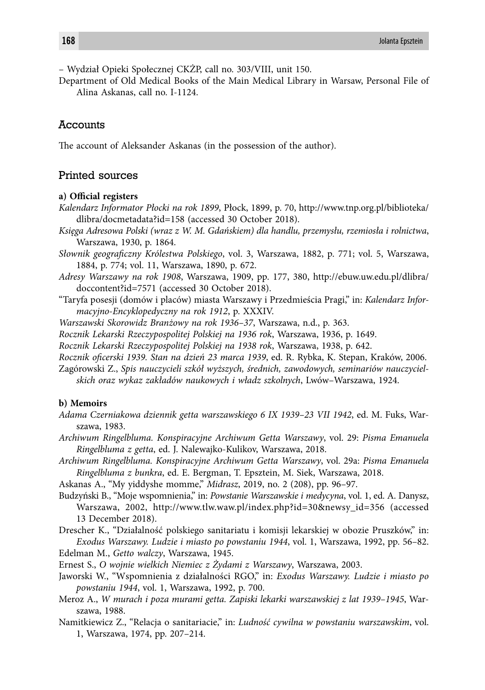– Wydział Opieki Społecznej CKŻP, call no. 303/VIII, unit 150.

Department of Old Medical Books of the Main Medical Library in Warsaw, Personal File of Alina Askanas, call no. I-1124.

#### **Accounts**

The account of Aleksander Askanas (in the possession of the author).

#### Printed sources

#### a) Official registers

- *Kalendarz Informator Płocki na rok 1899*, Płock, 1899, p. 70, http://www.tnp.org.pl/biblioteka/ dlibra/docmetadata?id=158 (accessed 30 October 2018).
- *Księga Adresowa Polski (wraz z W. M. Gdańskiem) dla handlu, przemysłu, rzemiosła i rolnictwa*, Warszawa, 1930, p. 1864.
- *Słownik geografi czny Królestwa Polskiego*, vol. 3, Warszawa, 1882, p. 771; vol. 5, Warszawa, 1884, p. 774; vol. 11, Warszawa, 1890, p. 672.
- *Adresy Warszawy na rok 1908*, Warszawa, 1909, pp. 177, 380, http://ebuw.uw.edu.pl/dlibra/ doccontent?id=7571 (accessed 30 October 2018).
- "Taryfa posesji (domów i placów) miasta Warszawy i Przedmieścia Pragi," in: *Kalendarz Informacyjno-Encyklopedyczny na rok 1912*, p. XXXIV.
- *Warszawski Skorowidz Branżowy na rok 1936–37*, Warszawa, n.d., p. 363.
- *Rocznik Lekarski Rzeczypospolitej Polskiej na 1936 rok*, Warszawa, 1936, p. 1649.
- *Rocznik Lekarski Rzeczypospolitej Polskiej na 1938 rok*, Warszawa, 1938, p. 642.
- *Rocznik ofi cerski 1939. Stan na dzień 23 marca 1939*, ed. R. Rybka, K. Stepan, Kraków, 2006.
- Zagórowski Z., *Spis nauczycieli szkół wyższych, średnich, zawodowych, seminariów nauczycielskich oraz wykaz zakładów naukowych i władz szkolnych*, Lwów–Warszawa, 1924.

#### **b) Memoirs**

- *Adama Czerniakowa dziennik getta warszawskiego 6 IX 1939–23 VII 1942*, ed. M. Fuks, Warszawa, 1983.
- *Archiwum Ringelbluma. Konspiracyjne Archiwum Getta Warszawy*, vol. 29: *Pisma Emanuela Ringelbluma z getta*, ed. J. Nalewajko-Kulikov, Warszawa, 2018.
- *Archiwum Ringelbluma. Konspiracyjne Archiwum Getta Warszawy*, vol. 29a: *Pisma Emanuela Ringelbluma z bunkra*, ed. E. Bergman, T. Epsztein, M. Siek, Warszawa, 2018.
- Askanas A., "My yiddyshe momme," *Midrasz*, 2019, no. 2 (208), pp. 96–97.
- Budzyński B., "Moje wspomnienia," in: *Powstanie Warszawskie i medycyna*, vol. 1, ed. A. Danysz, Warszawa, 2002, http://www.tlw.waw.pl/index.php?id=30&newsy\_id=356 (accessed 13 December 2018).
- Drescher K., "Działalność polskiego sanitariatu i komisji lekarskiej w obozie Pruszków," in: *Exodus Warszawy. Ludzie i miasto po powstaniu 1944*, vol. 1, Warszawa, 1992, pp. 56–82. Edelman M., *Getto walczy*, Warszawa, 1945.
- Ernest S., *O wojnie wielkich Niemiec z Żydami z Warszawy*, Warszawa, 2003.
- Jaworski W., "Wspomnienia z działalności RGO," in: *Exodus Warszawy. Ludzie i miasto po powstaniu 1944*, vol. 1, Warszawa, 1992, p. 700.
- Meroz A., *W murach i poza murami getta. Zapiski lekarki warszawskiej z lat 1939–1945*, Warszawa, 1988.
- Namitkiewicz Z., "Relacja o sanitariacie," in: *Ludność cywilna w powstaniu warszawskim*, vol. 1, Warszawa, 1974, pp. 207–214.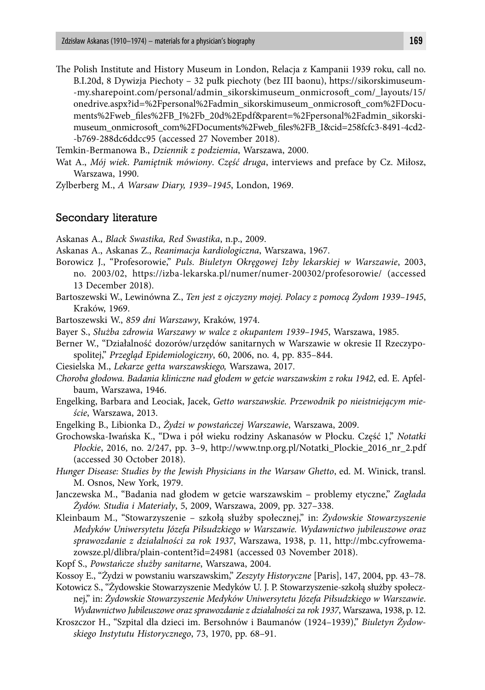The Polish Institute and History Museum in London, Relacja z Kampanii 1939 roku, call no. B.I.20d, 8 Dywizja Piechoty – 32 pułk piechoty (bez III baonu), https://sikorskimuseum- -my.sharepoint.com/personal/admin\_sikorskimuseum\_onmicrosoft \_com/\_layouts/15/ onedrive.aspx?id=%2Fpersonal%2Fadmin\_sikorskimuseum\_onmicrosoft \_com%2FDocuments%2Fweb\_files%2FB\_I%2Fb\_20d%2Epdf&parent=%2Fpersonal%2Fadmin\_sikorskimuseum\_onmicrosoft com%2FDocuments%2Fweb\_files%2FB\_I&cid=258fcfc3-8491-4cd2--b769-288dc6ddcc95 (accessed 27 November 2018).

Temkin-Bermanowa B., *Dziennik z podziemia*, Warszawa, 2000.

- Wat A., *Mój wiek*. *Pamiętnik mówiony*. *Część druga*, interviews and preface by Cz. Miłosz, Warszawa, 1990.
- Zylberberg M., *A Warsaw Diary, 1939–1945*, London, 1969.

#### Secondary literature

Askanas A., *Black Swastika, Red Swastika*, n.p., 2009.

- Askanas A., Askanas Z., *Reanimacja kardiologiczna*, Warszawa, 1967.
- Borowicz J., "Profesorowie," *Puls. Biuletyn Okręgowej Izby lekarskiej w Warszawie*, 2003, no. 2003/02, https://izba-lekarska.pl/numer/numer-200302/profesorowie/ (accessed 13 December 2018).
- Bartoszewski W., Lewinówna Z., *Ten jest z ojczyzny mojej. Polacy z pomocą Żydom 1939–1945*, Kraków, 1969.

Bartoszewski W., *859 dni Warszawy*, Kraków, 1974.

- Bayer S., *Służba zdrowia Warszawy w walce z okupantem 1939–1945*, Warszawa, 1985.
- Berner W., "Działalność dozorów/urzędów sanitarnych w Warszawie w okresie II Rzeczypospolitej," *Przegląd Epidemiologiczny*, 60, 2006, no. 4, pp. 835–844.
- Ciesielska M., *Lekarze getta warszawskiego,* Warszawa, 2017.
- *Choroba głodowa. Badania kliniczne nad głodem w getcie warszawskim z roku 1942*, ed. E. Apfelbaum, Warszawa, 1946.
- Engelking, Barbara and Leociak, Jacek, *Getto warszawskie. Przewodnik po nieistniejącym mieście*, Warszawa, 2013.
- Engelking B., Libionka D., *Żydzi w powstańczej Warszawie*, Warszawa, 2009.
- Grochowska-Iwańska K., "Dwa i pół wieku rodziny Askanasów w Płocku. Część 1," *Notatki Płockie*, 2016, no. 2/247, pp. 3–9, http://www.tnp.org.pl/Notatki\_Plockie\_2016\_nr\_2.pdf (accessed 30 October 2018).
- *Hunger Disease: Studies by the Jewish Physicians in the Warsaw Ghetto*, ed. M. Winick, transl. M. Osnos, New York, 1979.
- Janczewska M., "Badania nad głodem w getcie warszawskim problemy etyczne," *Zagłada Żydów. Studia i Materiały*, 5, 2009, Warszawa, 2009, pp. 327–338.
- Kleinbaum M., "Stowarzyszenie szkołą służby społecznej," in: *Żydowskie Stowarzyszenie Medyków Uniwersytetu Józefa Piłsudzkiego w Warszawie. Wydawnictwo jubileuszowe oraz sprawozdanie z działalności za rok 1937*, Warszawa, 1938, p. 11, http://mbc.cyfrowemazowsze.pl/dlibra/plain-content?id=24981 (accessed 03 November 2018).
- Kopf S., *Powstańcze służby sanitarne*, Warszawa, 2004.
- Kossoy E., "Żydzi w powstaniu warszawskim," *Zeszyty Historyczne* [Paris], 147, 2004, pp. 43–78.
- Kotowicz S., "Żydowskie Stowarzyszenie Medyków U. J. P. Stowarzyszenie-szkołą służby społecznej," in: *Żydowskie Stowarzyszenie Medyków Uniwersytetu Józefa Piłsudzkiego w Warszawie*. *Wydawnictwo Jubileuszowe oraz sprawozdanie z działalności za rok 1937*, Warszawa, 1938, p. 12.
- Kroszczor H., "Szpital dla dzieci im. Bersohnów i Baumanów (1924–1939)," *Biuletyn Żydowskiego Instytutu Historycznego*, 73, 1970, pp. 68–91.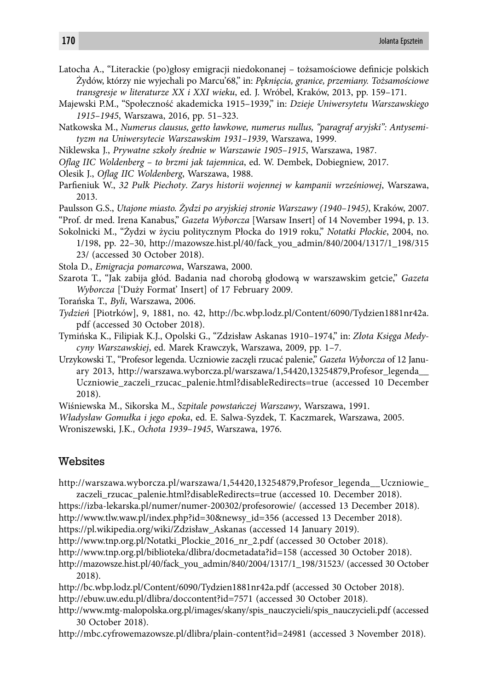Latocha A., "Literackie (po)głosy emigracji niedokonanej – tożsamościowe definicje polskich Żydów, którzy nie wyjechali po Marcu'68," in: *Pęknięcia, granice, przemiany. Tożsamościowe transgresje w literaturze XX i XXI wieku*, ed. J. Wróbel, Kraków, 2013, pp. 159–171.

- Majewski P.M., "Społeczność akademicka 1915–1939," in: *Dzieje Uniwersytetu Warszawskiego 1915–1945*, Warszawa, 2016, pp. 51–323.
- Natkowska M., *Numerus clausus, getto ławkowe, numerus nullus, "paragraf aryjski": Antysemityzm na Uniwersytecie Warszawskim 1931 –1939*, Warszawa, 1999.
- Niklewska J., *Prywatne szkoły średnie w Warszawie 1905–1915*, Warszawa, 1987.
- *Ofl ag IIC Woldenberg to brzmi jak tajemnica*, ed. W. Dembek, Dobiegniew, 2017.
- Olesik J., *Oflag IIC Woldenberg*, Warszawa, 1988.
- Parfieniuk W., 32 Pułk Piechoty. Zarys historii wojennej w kampanii wrześniowej, Warszawa, 2013.
- Paulsson G.S., *Utajone miasto. Żydzi po aryjskiej stronie Warszawy (1940–1945)*, Kraków, 2007.
- "Prof. dr med. Irena Kanabus," *Gazeta Wyborcza* [Warsaw Insert] of 14 November 1994, p. 13.
- Sokolnicki M., "Żydzi w życiu politycznym Płocka do 1919 roku," *Notatki Płockie*, 2004, no. 1/198, pp. 22–30, http://mazowsze.hist.pl/40/fack\_you\_admin/840/2004/1317/1\_198/315 23/ (accessed 30 October 2018).
- Stola D., *Emigracja pomarcowa*, Warszawa, 2000.
- Szarota T., "Jak zabija głód. Badania nad chorobą głodową w warszawskim getcie," *Gazeta Wyborcza* ['Duży Format' Insert] of 17 February 2009.
- Torańska T., *Byli*, Warszawa, 2006.
- *Tydzień* [Piotrków], 9, 1881, no. 42, http://bc.wbp.lodz.pl/Content/6090/Tydzien1881nr42a. pdf (accessed 30 October 2018).
- Tymińska K., Filipiak K.J., Opolski G., "Zdzisław Askanas 1910–1974," in: *Złota Księga Medycyny Warszawskiej*, ed. Marek Krawczyk, Warszawa, 2009, pp. 1–7.
- Urzykowski T., "Profesor legenda. Uczniowie zaczęli rzucać palenie," *Gazeta Wyborcza* of 12 January 2013, http://warszawa.wyborcza.pl/warszawa/1,54420,13254879,Profesor\_legenda\_\_ Uczniowie\_zaczeli\_rzucac\_palenie.html?disableRedirects=true (accessed 10 December 2018).
- Wiśniewska M., Sikorska M., *Szpitale powstańczej Warszawy*, Warszawa, 1991.
- *Władysław Gomułka i jego epoka*, ed. E. Salwa-Syzdek, T. Kaczmarek, Warszawa, 2005.

Wroniszewski, J.K., *Ochota 1939–1945*, Warszawa, 1976.

## Websites

- http://warszawa.wyborcza.pl/warszawa/1,54420,13254879,Profesor\_legenda\_\_Uczniowie\_ zaczeli\_rzucac\_palenie.html?disableRedirects=true (accessed 10. December 2018).
- https://izba-lekarska.pl/numer/numer-200302/profesorowie/ (accessed 13 December 2018).
- http://www.tlw.waw.pl/index.php?id=30&newsy\_id=356 (accessed 13 December 2018).
- https://pl.wikipedia.org/wiki/Zdzisław\_Askanas (accessed 14 January 2019).
- http://www.tnp.org.pl/Notatki\_Plockie\_2016\_nr\_2.pdf (accessed 30 October 2018).
- http://www.tnp.org.pl/biblioteka/dlibra/docmetadata?id=158 (accessed 30 October 2018).
- http://mazowsze.hist.pl/40/fack\_you\_admin/840/2004/1317/1\_198/31523/ (accessed 30 October 2018).
- http://bc.wbp.lodz.pl/Content/6090/Tydzien1881nr42a.pdf (accessed 30 October 2018). http://ebuw.uw.edu.pl/dlibra/doccontent?id=7571 (accessed 30 October 2018).
- http://www.mtg-malopolska.org.pl/images/skany/spis\_nauczycieli/spis\_nauczycieli.pdf (accessed 30 October 2018).

http://mbc.cyfrowemazowsze.pl/dlibra/plain-content?id=24981 (accessed 3 November 2018).